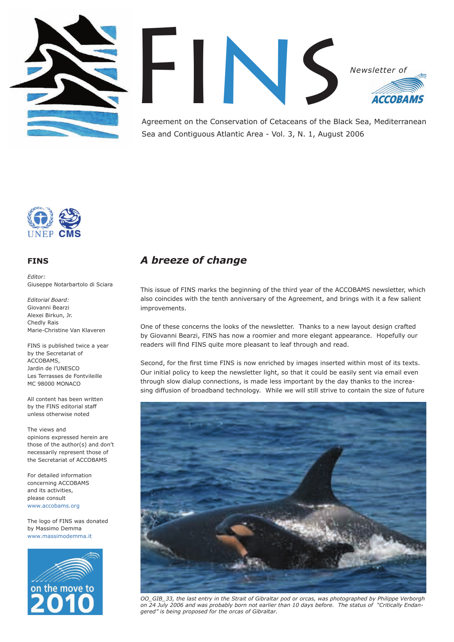



Agreement on the Conservation of Cetaceans of the Black Sea, Mediterranean Sea and Contiguous Atlantic Area - Vol. 3, N. 1, August 2006



### **FINS**

*Editor:* Giuseppe Notarbartolo di Sciara

*Editorial Board:* Giovanni Bearzi Alexei Birkun, Jr. Chedly Rais Marie-Christine Van Klaveren

FINS is published twice a year by the Secretariat of ACCOBAMS, Jardin de l'UNESCO Les Terrasses de Fontvileille MC 98000 MONACO

All content has been written by the FINS editorial staff unless otherwise noted

The views and opinions expressed herein are those of the author(s) and don't necessarily represent those of the Secretariat of ACCOBAMS

For detailed information concerning ACCOBAMS and its activities, please consult www.accobams.org

The logo of FINS was donated by Massimo Demma www.massimodemma.it



## *A breeze of change*

This issue of FINS marks the beginning of the third year of the ACCOBAMS newsletter, which also coincides with the tenth anniversary of the Agreement, and brings with it a few salient improvements.

One of these concerns the looks of the newsletter. Thanks to a new layout design crafted by Giovanni Bearzi, FINS has now a roomier and more elegant appearance. Hopefully our readers will find FINS quite more pleasant to leaf through and read.

Second, for the first time FINS is now enriched by images inserted within most of its texts. Our initial policy to keep the newsletter light, so that it could be easily sent via email even through slow dialup connections, is made less important by the day thanks to the increasing diffusion of broadband technology. While we will still strive to contain the size of future



*OO\_GIB\_33, the last entry in the Strait of Gibraltar pod or orcas, was photographed by Philippe Verborgh on 24 July 2006 and was probably born not earlier than 10 days before. The status of "Critically Endangered" is being proposed for the orcas of Gibraltar.*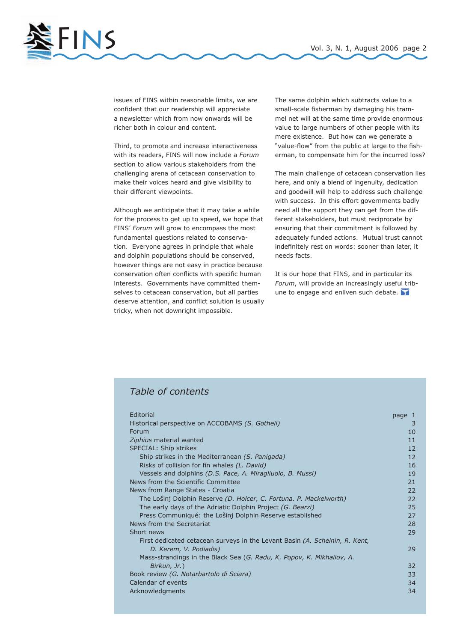

issues of FINS within reasonable limits, we are confident that our readership will appreciate a newsletter which from now onwards will be richer both in colour and content.

Third, to promote and increase interactiveness with its readers, FINS will now include a *Forum* section to allow various stakeholders from the challenging arena of cetacean conservation to make their voices heard and give visibility to their different viewpoints.

Although we anticipate that it may take a while for the process to get up to speed, we hope that FINS' *Forum* will grow to encompass the most fundamental questions related to conservation. Everyone agrees in principle that whale and dolphin populations should be conserved, however things are not easy in practice because conservation often conflicts with specific human interests. Governments have committed themselves to cetacean conservation, but all parties deserve attention, and conflict solution is usually tricky, when not downright impossible.

The same dolphin which subtracts value to a small-scale fisherman by damaging his trammel net will at the same time provide enormous value to large numbers of other people with its mere existence. But how can we generate a "value-flow" from the public at large to the fisherman, to compensate him for the incurred loss?

The main challenge of cetacean conservation lies here, and only a blend of ingenuity, dedication and goodwill will help to address such challenge with success. In this effort governments badly need all the support they can get from the different stakeholders, but must reciprocate by ensuring that their commitment is followed by adequately funded actions. Mutual trust cannot indefinitely rest on words: sooner than later, it needs facts.

It is our hope that FINS, and in particular its *Forum*, will provide an increasingly useful tribune to engage and enliven such debate.

## *Table of contents*

| Editorial                                                                   | page 1            |
|-----------------------------------------------------------------------------|-------------------|
| Historical perspective on ACCOBAMS (S. Gotheil)                             | 3                 |
| Forum                                                                       | 10                |
| Ziphius material wanted                                                     | 11                |
| SPECIAL: Ship strikes                                                       | 12                |
| Ship strikes in the Mediterranean (S. Panigada)                             | $12 \overline{ }$ |
| Risks of collision for fin whales (L. David)                                | 16                |
| Vessels and dolphins (D.S. Pace, A. Miragliuolo, B. Mussi)                  | 19                |
| News from the Scientific Committee                                          | 21                |
| News from Range States - Croatia                                            | 22                |
| The Lošinj Dolphin Reserve (D. Holcer, C. Fortuna. P. Mackelworth)          | 22                |
| The early days of the Adriatic Dolphin Project (G. Bearzi)                  | 25                |
| Press Communiqué: the Lošinj Dolphin Reserve established                    | 27                |
| News from the Secretariat                                                   | 28                |
| Short news                                                                  | 29                |
| First dedicated cetacean surveys in the Levant Basin (A. Scheinin, R. Kent, |                   |
| D. Kerem, V. Podiadis)                                                      | 29                |
| Mass-strandings in the Black Sea (G. Radu, K. Popov, K. Mikhailov, A.       |                   |
| Birkun, Jr.)                                                                | 32                |
| Book review (G. Notarbartolo di Sciara)                                     | 33                |
| Calendar of events                                                          | 34                |
| Acknowledgments                                                             | 34                |
|                                                                             |                   |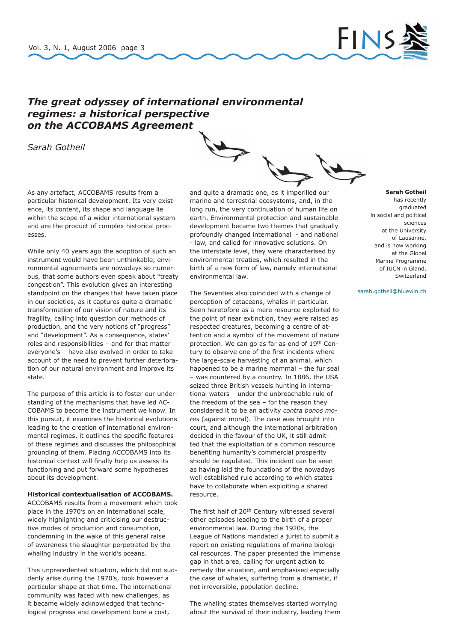

## *The great odyssey of international environmental regimes: a historical perspective on the ACCOBAMS Agreement*

*Sarah Gotheil*

As any artefact, ACCOBAMS results from a particular historical development. Its very existence, its content, its shape and language lie within the scope of a wider international system and are the product of complex historical processes.

While only 40 years ago the adoption of such an instrument would have been unthinkable, environmental agreements are nowadays so numerous, that some authors even speak about "treaty congestion". This evolution gives an interesting standpoint on the changes that have taken place in our societies, as it captures quite a dramatic transformation of our vision of nature and its fragility, calling into question our methods of production, and the very notions of "progress" and "development". As a consequence, states' roles and responsibilities – and for that matter everyone's – have also evolved in order to take account of the need to prevent further deterioration of our natural environment and improve its state.

The purpose of this article is to foster our understanding of the mechanisms that have led AC-COBAMS to become the instrument we know. In this pursuit, it examines the historical evolutions leading to the creation of international environmental regimes, it outlines the specific features of these regimes and discusses the philosophical grounding of them. Placing ACCOBAMS into its historical context will finally help us assess its functioning and put forward some hypotheses about its development.

### **Historical contextualisation of ACCOBAMS.**

ACCOBAMS results from a movement which took place in the 1970's on an international scale, widely highlighting and criticising our destructive modes of production and consumption, condemning in the wake of this general raise of awareness the slaughter perpetrated by the whaling industry in the world's oceans.

This unprecedented situation, which did not suddenly arise during the 1970's, took however a particular shape at that time. The international community was faced with new challenges, as it became widely acknowledged that technological progress and development bore a cost,

and quite a dramatic one, as it imperilled our marine and terrestrial ecosystems, and, in the long run, the very continuation of human life on earth. Environmental protection and sustainable development became two themes that gradually profoundly changed international - and national - law, and called for innovative solutions. On the interstate level, they were characterised by environmental treaties, which resulted in the birth of a new form of law, namely international environmental law.

The Seventies also coincided with a change of perception of cetaceans, whales in particular. Seen heretofore as a mere resource exploited to the point of near extinction, they were raised as respected creatures, becoming a centre of attention and a symbol of the movement of nature protection. We can go as far as end of 19th Century to observe one of the first incidents where the large-scale harvesting of an animal, which happened to be a marine mammal – the fur seal – was countered by a country. In 1886, the USA seized three British vessels hunting in international waters – under the unbreachable rule of the freedom of the sea – for the reason they considered it to be an activity *contra bonos mores* (against moral). The case was brought into court, and although the international arbitration decided in the favour of the UK, it still admitted that the exploitation of a common resource benefiting humanity's commercial prosperity should be regulated. This incident can be seen as having laid the foundations of the nowadays well established rule according to which states have to collaborate when exploiting a shared resource.

The first half of 20th Century witnessed several other episodes leading to the birth of a proper environmental law. During the 1920s, the League of Nations mandated a jurist to submit a report on existing regulations of marine biological resources. The paper presented the immense gap in that area, calling for urgent action to remedy the situation, and emphasised especially the case of whales, suffering from a dramatic, if not irreversible, population decline.

The whaling states themselves started worrying about the survival of their industry, leading them

### **Sarah Gotheil**

has recently graduated in social and political sciences at the University of Lausanne, and is now working at the Global Marine Programme of IUCN in Gland, Switzerland

sarah.gotheil@bluewin.ch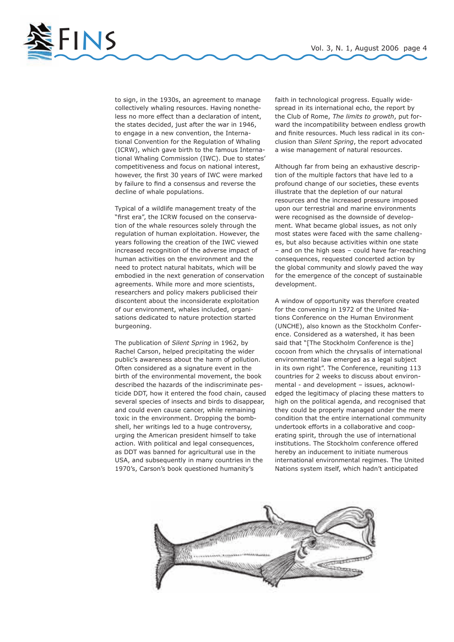

to sign, in the 1930s, an agreement to manage collectively whaling resources. Having nonetheless no more effect than a declaration of intent, the states decided, just after the war in 1946, to engage in a new convention, the International Convention for the Regulation of Whaling (ICRW), which gave birth to the famous International Whaling Commission (IWC). Due to states' competitiveness and focus on national interest, however, the first 30 years of IWC were marked by failure to find a consensus and reverse the decline of whale populations.

Typical of a wildlife management treaty of the "first era", the ICRW focused on the conservation of the whale resources solely through the regulation of human exploitation. However, the years following the creation of the IWC viewed increased recognition of the adverse impact of human activities on the environment and the need to protect natural habitats, which will be embodied in the next generation of conservation agreements. While more and more scientists, researchers and policy makers publicised their discontent about the inconsiderate exploitation of our environment, whales included, organisations dedicated to nature protection started burgeoning.

The publication of *Silent Spring* in 1962, by Rachel Carson, helped precipitating the wider public's awareness about the harm of pollution. Often considered as a signature event in the birth of the environmental movement, the book described the hazards of the indiscriminate pesticide DDT, how it entered the food chain, caused several species of insects and birds to disappear, and could even cause cancer, while remaining toxic in the environment. Dropping the bombshell, her writings led to a huge controversy, urging the American president himself to take action. With political and legal consequences, as DDT was banned for agricultural use in the USA, and subsequently in many countries in the 1970's, Carson's book questioned humanity's

faith in technological progress. Equally widespread in its international echo, the report by the Club of Rome, *The limits to growth*, put forward the incompatibility between endless growth and finite resources. Much less radical in its conclusion than *Silent Spring*, the report advocated a wise management of natural resources.

Although far from being an exhaustive description of the multiple factors that have led to a profound change of our societies, these events illustrate that the depletion of our natural resources and the increased pressure imposed upon our terrestrial and marine environments were recognised as the downside of development. What became global issues, as not only most states were faced with the same challenges, but also because activities within one state – and on the high seas – could have far-reaching consequences, requested concerted action by the global community and slowly paved the way for the emergence of the concept of sustainable development.

A window of opportunity was therefore created for the convening in 1972 of the United Nations Conference on the Human Environment (UNCHE), also known as the Stockholm Conference. Considered as a watershed, it has been said that "[The Stockholm Conference is the] cocoon from which the chrysalis of international environmental law emerged as a legal subject in its own right". The Conference, reuniting 113 countries for 2 weeks to discuss about environmental - and development – issues, acknowledged the legitimacy of placing these matters to high on the political agenda, and recognised that they could be properly managed under the mere condition that the entire international community undertook efforts in a collaborative and cooperating spirit, through the use of international institutions. The Stockholm conference offered hereby an inducement to initiate numerous international environmental regimes. The United Nations system itself, which hadn't anticipated

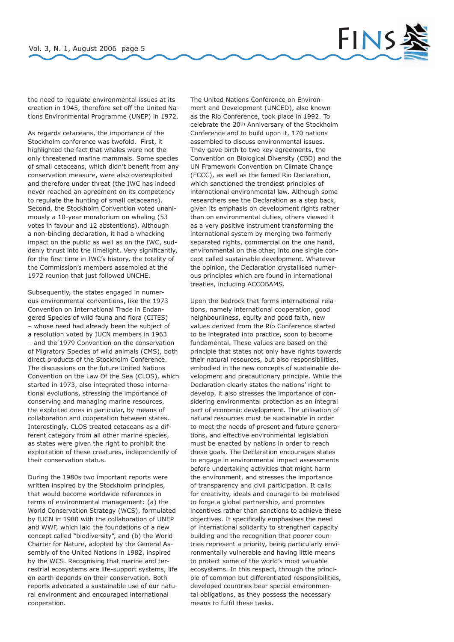

the need to regulate environmental issues at its creation in 1945, therefore set off the United Nations Environmental Programme (UNEP) in 1972.

As regards cetaceans, the importance of the Stockholm conference was twofold. First, it highlighted the fact that whales were not the only threatened marine mammals. Some species of small cetaceans, which didn't benefit from any conservation measure, were also overexploited and therefore under threat (the IWC has indeed never reached an agreement on its competency to regulate the hunting of small cetaceans). Second, the Stockholm Convention voted unanimously a 10-year moratorium on whaling (53 votes in favour and 12 abstentions). Although a non-binding declaration, it had a whacking impact on the public as well as on the IWC, suddenly thrust into the limelight. Very significantly, for the first time in IWC's history, the totality of the Commission's members assembled at the 1972 reunion that just followed UNCHE.

Subsequently, the states engaged in numerous environmental conventions, like the 1973 Convention on International Trade in Endangered Species of wild fauna and flora (CITES) – whose need had already been the subject of a resolution voted by IUCN members in 1963 – and the 1979 Convention on the conservation of Migratory Species of wild animals (CMS), both direct products of the Stockholm Conference. The discussions on the future United Nations Convention on the Law Of the Sea (CLOS), which started in 1973, also integrated those international evolutions, stressing the importance of conserving and managing marine resources, the exploited ones in particular, by means of collaboration and cooperation between states. Interestingly, CLOS treated cetaceans as a different category from all other marine species, as states were given the right to prohibit the exploitation of these creatures, independently of their conservation status.

During the 1980s two important reports were written inspired by the Stockholm principles, that would become worldwide references in terms of environmental management: (a) the World Conservation Strategy (WCS), formulated by IUCN in 1980 with the collaboration of UNEP and WWF, which laid the foundations of a new concept called "biodiversity", and (b) the World Charter for Nature, adopted by the General Assembly of the United Nations in 1982, inspired by the WCS. Recognising that marine and terrestrial ecosystems are life-support systems, life on earth depends on their conservation. Both reports advocated a sustainable use of our natural environment and encouraged international cooperation.

The United Nations Conference on Environment and Development (UNCED), also known as the Rio Conference, took place in 1992. To celebrate the 20th Anniversary of the Stockholm Conference and to build upon it, 170 nations assembled to discuss environmental issues. They gave birth to two key agreements, the Convention on Biological Diversity (CBD) and the UN Framework Convention on Climate Change (FCCC), as well as the famed Rio Declaration, which sanctioned the trendiest principles of international environmental law. Although some researchers see the Declaration as a step back, given its emphasis on development rights rather than on environmental duties, others viewed it as a very positive instrument transforming the international system by merging two formerly separated rights, commercial on the one hand, environmental on the other, into one single concept called sustainable development. Whatever the opinion, the Declaration crystallised numerous principles which are found in international treaties, including ACCOBAMS.

Upon the bedrock that forms international relations, namely international cooperation, good neighbourliness, equity and good faith, new values derived from the Rio Conference started to be integrated into practice, soon to become fundamental. These values are based on the principle that states not only have rights towards their natural resources, but also responsibilities, embodied in the new concepts of sustainable development and precautionary principle. While the Declaration clearly states the nations' right to develop, it also stresses the importance of considering environmental protection as an integral part of economic development. The utilisation of natural resources must be sustainable in order to meet the needs of present and future generations, and effective environmental legislation must be enacted by nations in order to reach these goals. The Declaration encourages states to engage in environmental impact assessments before undertaking activities that might harm the environment, and stresses the importance of transparency and civil participation. It calls for creativity, ideals and courage to be mobilised to forge a global partnership, and promotes incentives rather than sanctions to achieve these objectives. It specifically emphasises the need of international solidarity to strengthen capacity building and the recognition that poorer countries represent a priority, being particularly environmentally vulnerable and having little means to protect some of the world's most valuable ecosystems. In this respect, through the principle of common but differentiated responsibilities, developed countries bear special environmental obligations, as they possess the necessary means to fulfil these tasks.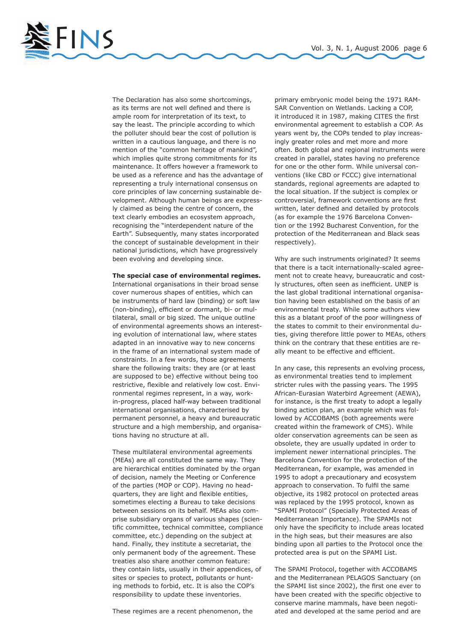FINS Vol. 3, N. 1, August 2006 page 6

The Declaration has also some shortcomings, as its terms are not well defined and there is ample room for interpretation of its text, to say the least. The principle according to which the polluter should bear the cost of pollution is written in a cautious language, and there is no mention of the "common heritage of mankind", which implies quite strong commitments for its maintenance. It offers however a framework to be used as a reference and has the advantage of representing a truly international consensus on core principles of law concerning sustainable development. Although human beings are expressly claimed as being the centre of concern, the text clearly embodies an ecosystem approach, recognising the "interdependent nature of the Earth". Subsequently, many states incorporated the concept of sustainable development in their national jurisdictions, which have progressively been evolving and developing since.

### **The special case of environmental regimes.**

International organisations in their broad sense cover numerous shapes of entities, which can be instruments of hard law (binding) or soft law (non-binding), efficient or dormant, bi- or multilateral, small or big sized. The unique outline of environmental agreements shows an interesting evolution of international law, where states adapted in an innovative way to new concerns in the frame of an international system made of constraints. In a few words, those agreements share the following traits: they are (or at least are supposed to be) effective without being too restrictive, flexible and relatively low cost. Environmental regimes represent, in a way, workin-progress, placed half-way between traditional international organisations, characterised by permanent personnel, a heavy and bureaucratic structure and a high membership, and organisations having no structure at all.

These multilateral environmental agreements (MEAs) are all constituted the same way. They are hierarchical entities dominated by the organ of decision, namely the Meeting or Conference of the parties (MOP or COP). Having no headquarters, they are light and flexible entities, sometimes electing a Bureau to take decisions between sessions on its behalf. MEAs also comprise subsidiary organs of various shapes (scientific committee, technical committee, compliance committee, etc.) depending on the subject at hand. Finally, they institute a secretariat, the only permanent body of the agreement. These treaties also share another common feature: they contain lists, usually in their appendices, of sites or species to protect, pollutants or hunting methods to forbid, etc. It is also the COP's responsibility to update these inventories.

These regimes are a recent phenomenon, the

primary embryonic model being the 1971 RAM-SAR Convention on Wetlands. Lacking a COP, it introduced it in 1987, making CITES the first environmental agreement to establish a COP. As years went by, the COPs tended to play increasingly greater roles and met more and more often. Both global and regional instruments were created in parallel, states having no preference for one or the other form. While universal conventions (like CBD or FCCC) give international standards, regional agreements are adapted to the local situation. If the subject is complex or controversial, framework conventions are first written, later defined and detailed by protocols (as for example the 1976 Barcelona Convention or the 1992 Bucharest Convention, for the protection of the Mediterranean and Black seas respectively).

Why are such instruments originated? It seems that there is a tacit internationally-scaled agreement not to create heavy, bureaucratic and costly structures, often seen as inefficient. UNEP is the last global traditional international organisation having been established on the basis of an environmental treaty. While some authors view this as a blatant proof of the poor willingness of the states to commit to their environmental duties, giving therefore little power to MEAs, others think on the contrary that these entities are really meant to be effective and efficient.

In any case, this represents an evolving process, as environmental treaties tend to implement stricter rules with the passing years. The 1995 African-Eurasian Waterbird Agreement (AEWA), for instance, is the first treaty to adopt a legally binding action plan, an example which was followed by ACCOBAMS (both agreements were created within the framework of CMS). While older conservation agreements can be seen as obsolete, they are usually updated in order to implement newer international principles. The Barcelona Convention for the protection of the Mediterranean, for example, was amended in 1995 to adopt a precautionary and ecosystem approach to conservation. To fulfil the same objective, its 1982 protocol on protected areas was replaced by the 1995 protocol, known as "SPAMI Protocol" (Specially Protected Areas of Mediterranean Importance). The SPAMIs not only have the specificity to include areas located in the high seas, but their measures are also binding upon all parties to the Protocol once the protected area is put on the SPAMI List.

The SPAMI Protocol, together with ACCOBAMS and the Mediterranean PELAGOS Sanctuary (on the SPAMI list since 2002), the first one ever to have been created with the specific objective to conserve marine mammals, have been negotiated and developed at the same period and are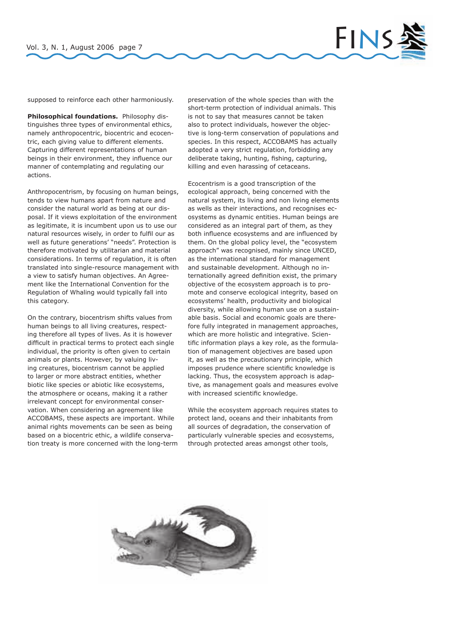

supposed to reinforce each other harmoniously.

**Philosophical foundations.** Philosophy distinguishes three types of environmental ethics, namely anthropocentric, biocentric and ecocentric, each giving value to different elements. Capturing different representations of human beings in their environment, they influence our manner of contemplating and regulating our actions.

Anthropocentrism, by focusing on human beings, tends to view humans apart from nature and consider the natural world as being at our disposal. If it views exploitation of the environment as legitimate, it is incumbent upon us to use our natural resources wisely, in order to fulfil our as well as future generations' "needs". Protection is therefore motivated by utilitarian and material considerations. In terms of regulation, it is often translated into single-resource management with a view to satisfy human objectives. An Agreement like the International Convention for the Regulation of Whaling would typically fall into this category.

On the contrary, biocentrism shifts values from human beings to all living creatures, respecting therefore all types of lives. As it is however difficult in practical terms to protect each single individual, the priority is often given to certain animals or plants. However, by valuing living creatures, biocentrism cannot be applied to larger or more abstract entities, whether biotic like species or abiotic like ecosystems, the atmosphere or oceans, making it a rather irrelevant concept for environmental conservation. When considering an agreement like ACCOBAMS, these aspects are important. While animal rights movements can be seen as being based on a biocentric ethic, a wildlife conservation treaty is more concerned with the long-term preservation of the whole species than with the short-term protection of individual animals. This is not to say that measures cannot be taken also to protect individuals, however the objective is long-term conservation of populations and species. In this respect, ACCOBAMS has actually adopted a very strict regulation, forbidding any deliberate taking, hunting, fishing, capturing, killing and even harassing of cetaceans.

Ecocentrism is a good transcription of the ecological approach, being concerned with the natural system, its living and non living elements as wells as their interactions, and recognises ecosystems as dynamic entities. Human beings are considered as an integral part of them, as they both influence ecosystems and are influenced by them. On the global policy level, the "ecosystem approach" was recognised, mainly since UNCED, as the international standard for management and sustainable development. Although no internationally agreed definition exist, the primary objective of the ecosystem approach is to promote and conserve ecological integrity, based on ecosystems' health, productivity and biological diversity, while allowing human use on a sustainable basis. Social and economic goals are therefore fully integrated in management approaches, which are more holistic and integrative. Scientific information plays a key role, as the formulation of management objectives are based upon it, as well as the precautionary principle, which imposes prudence where scientific knowledge is lacking. Thus, the ecosystem approach is adaptive, as management goals and measures evolve with increased scientific knowledge.

While the ecosystem approach requires states to protect land, oceans and their inhabitants from all sources of degradation, the conservation of particularly vulnerable species and ecosystems, through protected areas amongst other tools,

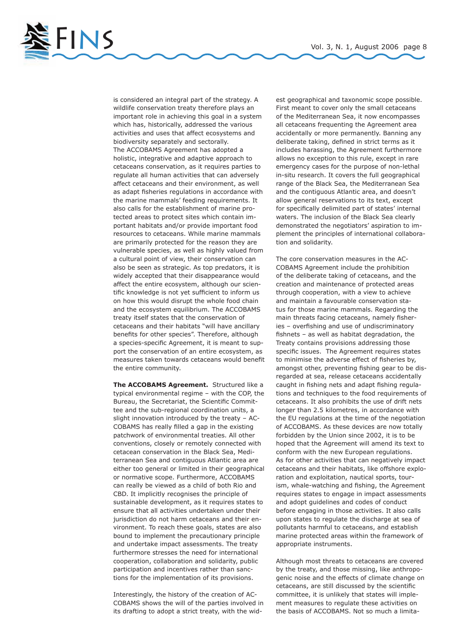FINS Vol. 3, N. 1, August 2006 page 8

is considered an integral part of the strategy. A wildlife conservation treaty therefore plays an important role in achieving this goal in a system which has, historically, addressed the various activities and uses that affect ecosystems and biodiversity separately and sectorally. The ACCOBAMS Agreement has adopted a holistic, integrative and adaptive approach to cetaceans conservation, as it requires parties to regulate all human activities that can adversely affect cetaceans and their environment, as well as adapt fisheries regulations in accordance with the marine mammals' feeding requirements. It also calls for the establishment of marine protected areas to protect sites which contain important habitats and/or provide important food resources to cetaceans. While marine mammals are primarily protected for the reason they are vulnerable species, as well as highly valued from a cultural point of view, their conservation can also be seen as strategic. As top predators, it is widely accepted that their disappearance would affect the entire ecosystem, although our scientific knowledge is not yet sufficient to inform us on how this would disrupt the whole food chain and the ecosystem equilibrium. The ACCOBAMS treaty itself states that the conservation of cetaceans and their habitats "will have ancillary benefits for other species". Therefore, although a species-specific Agreement, it is meant to support the conservation of an entire ecosystem, as measures taken towards cetaceans would benefit the entire community.

**The ACCOBAMS Agreement.** Structured like a typical environmental regime – with the COP, the Bureau, the Secretariat, the Scientific Committee and the sub-regional coordination units, a slight innovation introduced by the treaty – AC-COBAMS has really filled a gap in the existing patchwork of environmental treaties. All other conventions, closely or remotely connected with cetacean conservation in the Black Sea, Mediterranean Sea and contiguous Atlantic area are either too general or limited in their geographical or normative scope. Furthermore, ACCOBAMS can really be viewed as a child of both Rio and CBD. It implicitly recognises the principle of sustainable development, as it requires states to ensure that all activities undertaken under their jurisdiction do not harm cetaceans and their environment. To reach these goals, states are also bound to implement the precautionary principle and undertake impact assessments. The treaty furthermore stresses the need for international cooperation, collaboration and solidarity, public participation and incentives rather than sanctions for the implementation of its provisions.

Interestingly, the history of the creation of AC-COBAMS shows the will of the parties involved in its drafting to adopt a strict treaty, with the wid-

est geographical and taxonomic scope possible. First meant to cover only the small cetaceans of the Mediterranean Sea, it now encompasses all cetaceans frequenting the Agreement area accidentally or more permanently. Banning any deliberate taking, defined in strict terms as it includes harassing, the Agreement furthermore allows no exception to this rule, except in rare emergency cases for the purpose of non-lethal in-situ research. It covers the full geographical range of the Black Sea, the Mediterranean Sea and the contiguous Atlantic area, and doesn't allow general reservations to its text, except for specifically delimited part of states' internal waters. The inclusion of the Black Sea clearly demonstrated the negotiators' aspiration to implement the principles of international collaboration and solidarity.

The core conservation measures in the AC-COBAMS Agreement include the prohibition of the deliberate taking of cetaceans, and the creation and maintenance of protected areas through cooperation, with a view to achieve and maintain a favourable conservation status for those marine mammals. Regarding the main threats facing cetaceans, namely fisheries – overfishing and use of undiscriminatory fishnets – as well as habitat degradation, the Treaty contains provisions addressing those specific issues. The Agreement requires states to minimise the adverse effect of fisheries by, amongst other, preventing fishing gear to be disregarded at sea, release cetaceans accidentally caught in fishing nets and adapt fishing regulations and techniques to the food requirements of cetaceans. It also prohibits the use of drift nets longer than 2.5 kilometres, in accordance with the EU regulations at the time of the negotiation of ACCOBAMS. As these devices are now totally forbidden by the Union since 2002, it is to be hoped that the Agreement will amend its text to conform with the new European regulations. As for other activities that can negatively impact cetaceans and their habitats, like offshore exploration and exploitation, nautical sports, tourism, whale-watching and fishing, the Agreement requires states to engage in impact assessments and adopt guidelines and codes of conduct before engaging in those activities. It also calls upon states to regulate the discharge at sea of pollutants harmful to cetaceans, and establish marine protected areas within the framework of appropriate instruments.

Although most threats to cetaceans are covered by the treaty, and those missing, like anthropogenic noise and the effects of climate change on cetaceans, are still discussed by the scientific committee, it is unlikely that states will implement measures to regulate these activities on the basis of ACCOBAMS. Not so much a limita-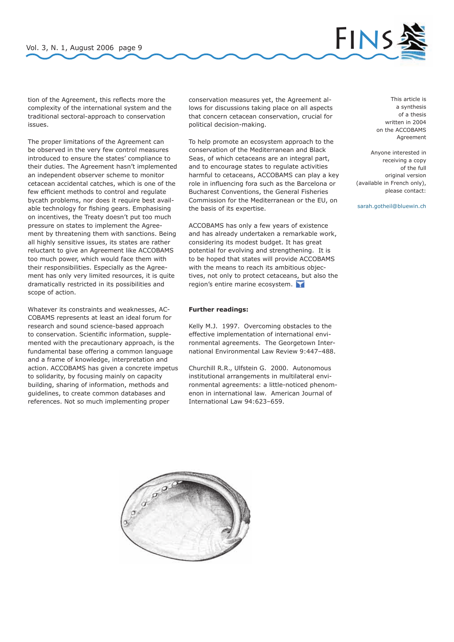

tion of the Agreement, this reflects more the complexity of the international system and the traditional sectoral-approach to conservation issues.

The proper limitations of the Agreement can be observed in the very few control measures introduced to ensure the states' compliance to their duties. The Agreement hasn't implemented an independent observer scheme to monitor cetacean accidental catches, which is one of the few efficient methods to control and regulate bycath problems, nor does it require best available technology for fishing gears. Emphasising on incentives, the Treaty doesn't put too much pressure on states to implement the Agreement by threatening them with sanctions. Being all highly sensitive issues, its states are rather reluctant to give an Agreement like ACCOBAMS too much power, which would face them with their responsibilities. Especially as the Agreement has only very limited resources, it is quite dramatically restricted in its possibilities and scope of action.

Whatever its constraints and weaknesses, AC-COBAMS represents at least an ideal forum for research and sound science-based approach to conservation. Scientific information, supplemented with the precautionary approach, is the fundamental base offering a common language and a frame of knowledge, interpretation and action. ACCOBAMS has given a concrete impetus to solidarity, by focusing mainly on capacity building, sharing of information, methods and guidelines, to create common databases and references. Not so much implementing proper

conservation measures yet, the Agreement allows for discussions taking place on all aspects that concern cetacean conservation, crucial for political decision-making.

To help promote an ecosystem approach to the conservation of the Mediterranean and Black Seas, of which cetaceans are an integral part, and to encourage states to regulate activities harmful to cetaceans, ACCOBAMS can play a key role in influencing fora such as the Barcelona or Bucharest Conventions, the General Fisheries Commission for the Mediterranean or the EU, on the basis of its expertise.

ACCOBAMS has only a few years of existence and has already undertaken a remarkable work, considering its modest budget. It has great potential for evolving and strengthening. It is to be hoped that states will provide ACCOBAMS with the means to reach its ambitious objectives, not only to protect cetaceans, but also the region's entire marine ecosystem.

### **Further readings:**

Kelly M.J. 1997. Overcoming obstacles to the effective implementation of international environmental agreements. The Georgetown International Environmental Law Review 9:447–488.

Churchill R.R., Ulfstein G. 2000. Autonomous institutional arrangements in multilateral environmental agreements: a little-noticed phenomenon in international law. American Journal of International Law 94:623–659.

This article is a synthesis of a thesis written in 2004 on the ACCOBAMS Agreement

Anyone interested in receiving a copy of the full original version (available in French only), please contact:

sarah.gotheil@bluewin.ch

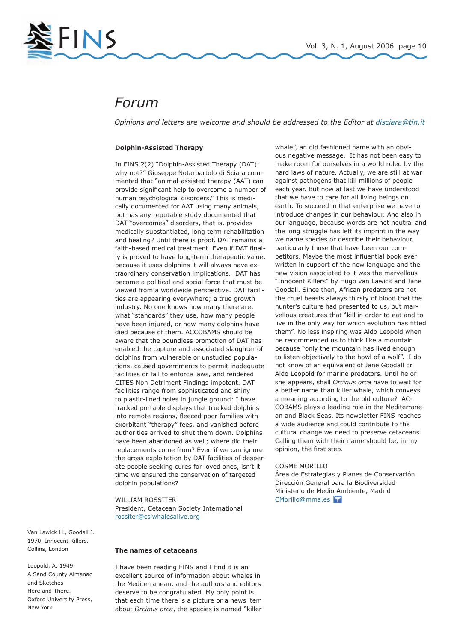

# *Forum*

*Opinions and letters are welcome and should be addressed to the Editor at disciara@tin.it*

### **Dolphin-Assisted Therapy**

In FINS 2(2) "Dolphin-Assisted Therapy (DAT): why not?" Giuseppe Notarbartolo di Sciara commented that "animal-assisted therapy (AAT) can provide significant help to overcome a number of human psychological disorders." This is medically documented for AAT using many animals, but has any reputable study documented that DAT "overcomes" disorders, that is, provides medically substantiated, long term rehabilitation and healing? Until there is proof, DAT remains a faith-based medical treatment. Even if DAT finally is proved to have long-term therapeutic value, because it uses dolphins it will always have extraordinary conservation implications. DAT has become a political and social force that must be viewed from a worldwide perspective. DAT facilities are appearing everywhere; a true growth industry. No one knows how many there are, what "standards" they use, how many people have been injured, or how many dolphins have died because of them. ACCOBAMS should be aware that the boundless promotion of DAT has enabled the capture and associated slaughter of dolphins from vulnerable or unstudied populations, caused governments to permit inadequate facilities or fail to enforce laws, and rendered CITES Non Detriment Findings impotent. DAT facilities range from sophisticated and shiny to plastic-lined holes in jungle ground: I have tracked portable displays that trucked dolphins into remote regions, fleeced poor families with exorbitant "therapy" fees, and vanished before authorities arrived to shut them down. Dolphins have been abandoned as well; where did their replacements come from? Even if we can ignore the gross exploitation by DAT facilities of desperate people seeking cures for loved ones, isn't it time we ensured the conservation of targeted dolphin populations?

WILLIAM ROSSITER President, Cetacean Society International rossiter@csiwhalesalive.org

Van Lawick H., Goodall J. 1970. Innocent Killers. Collins, London

Leopold, A. 1949. A Sand County Almanac and Sketches Here and There. Oxford University Press, New York

### **The names of cetaceans**

I have been reading FINS and I find it is an excellent source of information about whales in the Mediterranean, and the authors and editors deserve to be congratulated. My only point is that each time there is a picture or a news item about *Orcinus orca*, the species is named "killer

whale", an old fashioned name with an obvious negative message. It has not been easy to make room for ourselves in a world ruled by the hard laws of nature. Actually, we are still at war against pathogens that kill millions of people each year. But now at last we have understood that we have to care for all living beings on earth. To succeed in that enterprise we have to introduce changes in our behaviour. And also in our language, because words are not neutral and the long struggle has left its imprint in the way we name species or describe their behaviour, particularly those that have been our competitors. Maybe the most influential book ever written in support of the new language and the new vision associated to it was the marvellous "Innocent Killers" by Hugo van Lawick and Jane Goodall. Since then, African predators are not the cruel beasts always thirsty of blood that the hunter's culture had presented to us, but marvellous creatures that "kill in order to eat and to live in the only way for which evolution has fitted them". No less inspiring was Aldo Leopold when he recommended us to think like a mountain because "only the mountain has lived enough to listen objectively to the howl of a wolf". I do not know of an equivalent of Jane Goodall or Aldo Leopold for marine predators. Until he or she appears, shall *Orcinus orca* have to wait for a better name than killer whale, which conveys a meaning according to the old culture? AC-COBAMS plays a leading role in the Mediterranean and Black Seas. Its newsletter FINS reaches a wide audience and could contribute to the cultural change we need to preserve cetaceans. Calling them with their name should be, in my opinion, the first step.

### COSME MORILLO

Área de Estrategias y Planes de Conservación Dirección General para la Biodiversidad Ministerio de Medio Ambiente, Madrid CMorillo@mma.es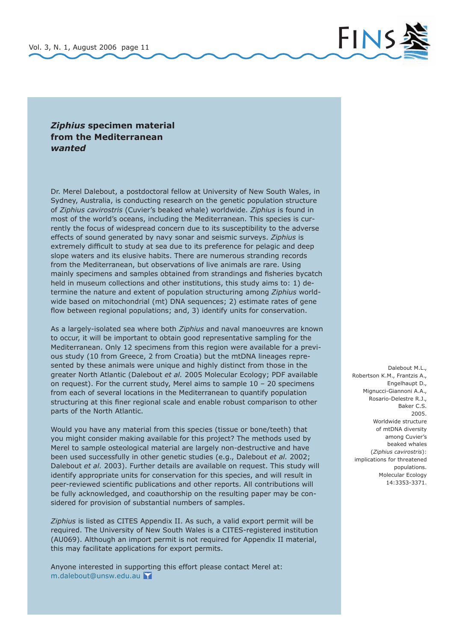

### *Ziphius* **specimen material from the Mediterranean**  *wanted*

Dr. Merel Dalebout, a postdoctoral fellow at University of New South Wales, in Sydney, Australia, is conducting research on the genetic population structure of *Ziphius cavirostris* (Cuvier's beaked whale) worldwide. *Ziphius* is found in most of the world's oceans, including the Mediterranean. This species is currently the focus of widespread concern due to its susceptibility to the adverse effects of sound generated by navy sonar and seismic surveys. *Ziphius* is extremely difficult to study at sea due to its preference for pelagic and deep slope waters and its elusive habits. There are numerous stranding records from the Mediterranean, but observations of live animals are rare. Using mainly specimens and samples obtained from strandings and fisheries bycatch held in museum collections and other institutions, this study aims to: 1) determine the nature and extent of population structuring among *Ziphius* worldwide based on mitochondrial (mt) DNA sequences; 2) estimate rates of gene flow between regional populations; and, 3) identify units for conservation.

As a largely-isolated sea where both *Ziphius* and naval manoeuvres are known to occur, it will be important to obtain good representative sampling for the Mediterranean. Only 12 specimens from this region were available for a previous study (10 from Greece, 2 from Croatia) but the mtDNA lineages represented by these animals were unique and highly distinct from those in the greater North Atlantic (Dalebout *et al.* 2005 Molecular Ecology; PDF available on request). For the current study, Merel aims to sample 10 – 20 specimens from each of several locations in the Mediterranean to quantify population structuring at this finer regional scale and enable robust comparison to other parts of the North Atlantic.

Would you have any material from this species (tissue or bone/teeth) that you might consider making available for this project? The methods used by Merel to sample osteological material are largely non-destructive and have been used successfully in other genetic studies (e.g., Dalebout *et al.* 2002; Dalebout *et al.* 2003). Further details are available on request. This study will identify appropriate units for conservation for this species, and will result in peer-reviewed scientific publications and other reports. All contributions will be fully acknowledged, and coauthorship on the resulting paper may be considered for provision of substantial numbers of samples.

*Ziphius* is listed as CITES Appendix II. As such, a valid export permit will be required. The University of New South Wales is a CITES-registered institution (AU069). Although an import permit is not required for Appendix II material, this may facilitate applications for export permits.

Anyone interested in supporting this effort please contact Merel at: m.dalebout@unsw.edu.au

Dalebout M.L., Robertson K.M., Frantzis A., Engelhaupt D., Mignucci-Giannoni A.A., Rosario-Delestre R.J., Baker C.S. 2005. Worldwide structure of mtDNA diversity among Cuvier's beaked whales (*Ziphius cavirostris*): implications for threatened populations. Molecular Ecology 14:3353-3371.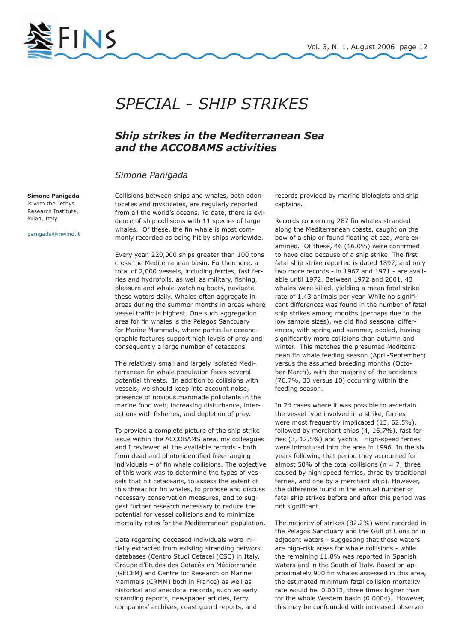

# *SPECIAL - SHIP STRIKES*

## *Ship strikes in the Mediterranean Sea and the ACCOBAMS activities*

### *Simone Panigada*

**Simone Panigada**  is with the Tethys Research Institute, Milan, Italy

panigada@inwind.it

Collisions between ships and whales, both odontocetes and mysticetes, are regularly reported from all the world's oceans. To date, there is evidence of ship collisions with 11 species of large whales. Of these, the fin whale is most commonly recorded as being hit by ships worldwide.

Every year, 220,000 ships greater than 100 tons cross the Mediterranean basin. Furthermore, a total of 2,000 vessels, including ferries, fast ferries and hydrofoils, as well as military, fishing, pleasure and whale-watching boats, navigate these waters daily. Whales often aggregate in areas during the summer months in areas where vessel traffic is highest. One such aggregation area for fin whales is the Pelagos Sanctuary for Marine Mammals, where particular oceanographic features support high levels of prey and consequently a large number of cetaceans.

The relatively small and largely isolated Mediterranean fin whale population faces several potential threats. In addition to collisions with vessels, we should keep into account noise, presence of noxious manmade pollutants in the marine food web, increasing disturbance, interactions with fisheries, and depletion of prey.

To provide a complete picture of the ship strike issue within the ACCOBAMS area, my colleagues and I reviewed all the available records - both from dead and photo-identified free-ranging individuals – of fin whale collisions. The objective of this work was to determine the types of vessels that hit cetaceans, to assess the extent of this threat for fin whales, to propose and discuss necessary conservation measures, and to suggest further research necessary to reduce the potential for vessel collisions and to minimize mortality rates for the Mediterranean population.

Data regarding deceased individuals were initially extracted from existing stranding network databases (Centro Studi Cetacei (CSC) in Italy, Groupe d'Etudes des Cétacés en Méditerranée (GECEM) and Centre for Research on Marine Mammals (CRMM) both in France) as well as historical and anecdotal records, such as early stranding reports, newspaper articles, ferry companies' archives, coast guard reports, and

records provided by marine biologists and ship captains.

Records concerning 287 fin whales stranded along the Mediterranean coasts, caught on the bow of a ship or found floating at sea, were examined. Of these, 46 (16.0%) were confirmed to have died because of a ship strike. The first fatal ship strike reported is dated 1897, and only two more records - in 1967 and 1971 - are available until 1972. Between 1972 and 2001, 43 whales were killed, yielding a mean fatal strike rate of 1.43 animals per year. While no significant differences was found in the number of fatal ship strikes among months (perhaps due to the low sample sizes), we did find seasonal differences, with spring and summer, pooled, having significantly more collisions than autumn and winter. This matches the presumed Mediterranean fin whale feeding season (April-September) versus the assumed breeding months (October-March), with the majority of the accidents (76.7%, 33 versus 10) occurring within the feeding season.

In 24 cases where it was possible to ascertain the vessel type involved in a strike, ferries were most frequently implicated (15, 62.5%), followed by merchant ships (4, 16.7%), fast ferries (3, 12.5%) and yachts. High-speed ferries were introduced into the area in 1996. In the six years following that period they accounted for almost 50% of the total collisions ( $n = 7$ ; three caused by high speed ferries, three by traditional ferries, and one by a merchant ship). However, the difference found in the annual number of fatal ship strikes before and after this period was not significant.

The majority of strikes (82.2%) were recorded in the Pelagos Sanctuary and the Gulf of Lions or in adjacent waters - suggesting that these waters are high-risk areas for whale collisions - while the remaining 11.8% was reported in Spanish waters and in the South of Italy. Based on approximately 900 fin whales assessed in this area, the estimated minimum fatal collision mortality rate would be 0.0013, three times higher than for the whole Western basin (0.0004). However, this may be confounded with increased observer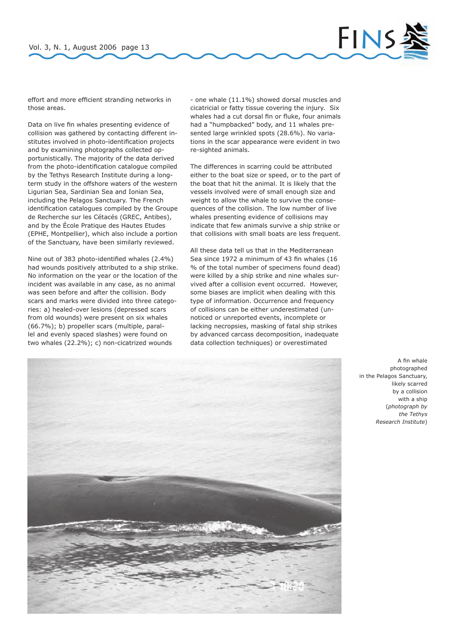

effort and more efficient stranding networks in those areas.

Data on live fin whales presenting evidence of collision was gathered by contacting different institutes involved in photo-identification projects and by examining photographs collected opportunistically. The majority of the data derived from the photo-identification catalogue compiled by the Tethys Research Institute during a longterm study in the offshore waters of the western Ligurian Sea, Sardinian Sea and Ionian Sea, including the Pelagos Sanctuary. The French identification catalogues compiled by the Groupe de Recherche sur les Cétacés (GREC, Antibes), and by the École Pratique des Hautes Etudes (EPHE, Montpellier), which also include a portion of the Sanctuary, have been similarly reviewed.

Nine out of 383 photo-identified whales (2.4%) had wounds positively attributed to a ship strike. No information on the year or the location of the incident was available in any case, as no animal was seen before and after the collision. Body scars and marks were divided into three categories: a) healed-over lesions (depressed scars from old wounds) were present on six whales (66.7%); b) propeller scars (multiple, parallel and evenly spaced slashes) were found on two whales (22.2%); c) non-cicatrized wounds

- one whale (11.1%) showed dorsal muscles and cicatricial or fatty tissue covering the injury. Six whales had a cut dorsal fin or fluke, four animals had a "humpbacked" body, and 11 whales presented large wrinkled spots (28.6%). No variations in the scar appearance were evident in two re-sighted animals.

The differences in scarring could be attributed either to the boat size or speed, or to the part of the boat that hit the animal. It is likely that the vessels involved were of small enough size and weight to allow the whale to survive the consequences of the collision. The low number of live whales presenting evidence of collisions may indicate that few animals survive a ship strike or that collisions with small boats are less frequent.

All these data tell us that in the Mediterranean Sea since 1972 a minimum of 43 fin whales (16 % of the total number of specimens found dead) were killed by a ship strike and nine whales survived after a collision event occurred. However, some biases are implicit when dealing with this type of information. Occurrence and frequency of collisions can be either underestimated (unnoticed or unreported events, incomplete or lacking necropsies, masking of fatal ship strikes by advanced carcass decomposition, inadequate data collection techniques) or overestimated



A fin whale photographed in the Pelagos Sanctuary, likely scarred by a collision with a ship (*photograph by the Tethys Research Institute*)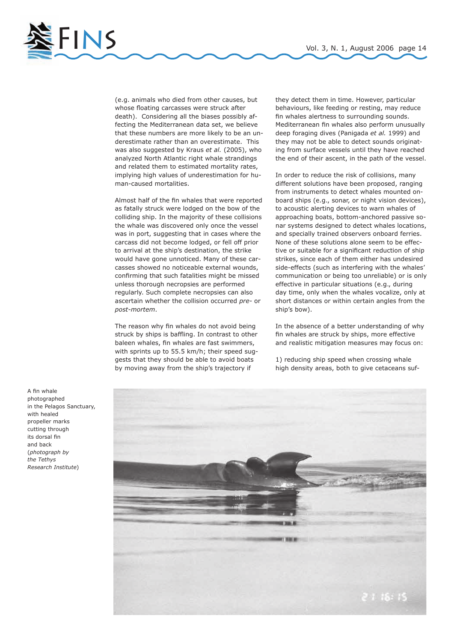

(e.g. animals who died from other causes, but whose floating carcasses were struck after death). Considering all the biases possibly affecting the Mediterranean data set, we believe that these numbers are more likely to be an underestimate rather than an overestimate. This was also suggested by Kraus *et al.* (2005), who analyzed North Atlantic right whale strandings and related them to estimated mortality rates, implying high values of underestimation for human-caused mortalities.

Almost half of the fin whales that were reported as fatally struck were lodged on the bow of the colliding ship. In the majority of these collisions the whale was discovered only once the vessel was in port, suggesting that in cases where the carcass did not become lodged, or fell off prior to arrival at the ship's destination, the strike would have gone unnoticed. Many of these carcasses showed no noticeable external wounds, confirming that such fatalities might be missed unless thorough necropsies are performed regularly. Such complete necropsies can also ascertain whether the collision occurred *pre-* or *post-mortem*.

The reason why fin whales do not avoid being struck by ships is baffling. In contrast to other baleen whales, fin whales are fast swimmers, with sprints up to 55.5 km/h; their speed suggests that they should be able to avoid boats by moving away from the ship's trajectory if

they detect them in time. However, particular behaviours, like feeding or resting, may reduce fin whales alertness to surrounding sounds. Mediterranean fin whales also perform unusually deep foraging dives (Panigada *et al.* 1999) and they may not be able to detect sounds originating from surface vessels until they have reached the end of their ascent, in the path of the vessel.

In order to reduce the risk of collisions, many different solutions have been proposed, ranging from instruments to detect whales mounted onboard ships (e.g., sonar, or night vision devices), to acoustic alerting devices to warn whales of approaching boats, bottom-anchored passive sonar systems designed to detect whales locations, and specially trained observers onboard ferries. None of these solutions alone seem to be effective or suitable for a significant reduction of ship strikes, since each of them either has undesired side-effects (such as interfering with the whales' communication or being too unreliable) or is only effective in particular situations (e.g., during day time, only when the whales vocalize, only at short distances or within certain angles from the ship's bow).

In the absence of a better understanding of why fin whales are struck by ships, more effective and realistic mitigation measures may focus on:

1) reducing ship speed when crossing whale high density areas, both to give cetaceans suf-



A fin whale photographed in the Pelagos Sanctuary, with healed propeller marks cutting through its dorsal fin and back (*photograph by the Tethys Research Institute*)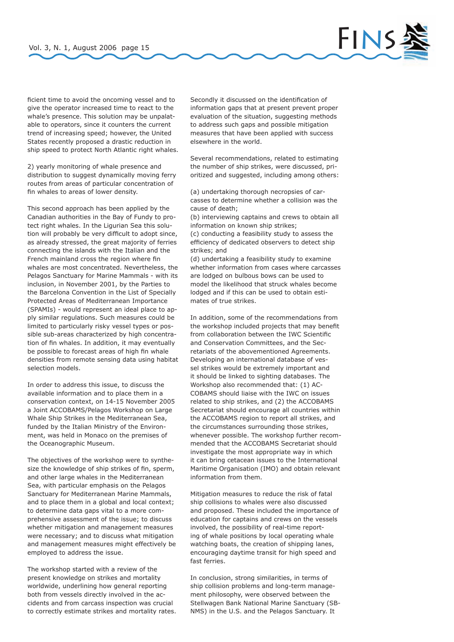

ficient time to avoid the oncoming vessel and to give the operator increased time to react to the whale's presence. This solution may be unpalatable to operators, since it counters the current trend of increasing speed; however, the United States recently proposed a drastic reduction in ship speed to protect North Atlantic right whales.

2) yearly monitoring of whale presence and distribution to suggest dynamically moving ferry routes from areas of particular concentration of fin whales to areas of lower density.

This second approach has been applied by the Canadian authorities in the Bay of Fundy to protect right whales. In the Ligurian Sea this solution will probably be very difficult to adopt since, as already stressed, the great majority of ferries connecting the islands with the Italian and the French mainland cross the region where fin whales are most concentrated. Nevertheless, the Pelagos Sanctuary for Marine Mammals - with its inclusion, in November 2001, by the Parties to the Barcelona Convention in the List of Specially Protected Areas of Mediterranean Importance (SPAMIs) - would represent an ideal place to apply similar regulations. Such measures could be limited to particularly risky vessel types or possible sub-areas characterized by high concentration of fin whales. In addition, it may eventually be possible to forecast areas of high fin whale densities from remote sensing data using habitat selection models.

In order to address this issue, to discuss the available information and to place them in a conservation context, on 14-15 November 2005 a Joint ACCOBAMS/Pelagos Workshop on Large Whale Ship Strikes in the Mediterranean Sea, funded by the Italian Ministry of the Environment, was held in Monaco on the premises of the Oceanographic Museum.

The objectives of the workshop were to synthesize the knowledge of ship strikes of fin, sperm, and other large whales in the Mediterranean Sea, with particular emphasis on the Pelagos Sanctuary for Mediterranean Marine Mammals, and to place them in a global and local context; to determine data gaps vital to a more comprehensive assessment of the issue; to discuss whether mitigation and management measures were necessary; and to discuss what mitigation and management measures might effectively be employed to address the issue.

The workshop started with a review of the present knowledge on strikes and mortality worldwide, underlining how general reporting both from vessels directly involved in the accidents and from carcass inspection was crucial to correctly estimate strikes and mortality rates. Secondly it discussed on the identification of information gaps that at present prevent proper evaluation of the situation, suggesting methods to address such gaps and possible mitigation measures that have been applied with success elsewhere in the world.

Several recommendations, related to estimating the number of ship strikes, were discussed, prioritized and suggested, including among others:

(a) undertaking thorough necropsies of carcasses to determine whether a collision was the cause of death;

(b) interviewing captains and crews to obtain all information on known ship strikes;

(c) conducting a feasibility study to assess the efficiency of dedicated observers to detect ship strikes; and

(d) undertaking a feasibility study to examine whether information from cases where carcasses are lodged on bulbous bows can be used to model the likelihood that struck whales become lodged and if this can be used to obtain estimates of true strikes.

In addition, some of the recommendations from the workshop included projects that may benefit from collaboration between the IWC Scientific and Conservation Committees, and the Secretariats of the abovementioned Agreements. Developing an international database of vessel strikes would be extremely important and it should be linked to sighting databases. The Workshop also recommended that: (1) AC-COBAMS should liaise with the IWC on issues related to ship strikes, and (2) the ACCOBAMS Secretariat should encourage all countries within the ACCOBAMS region to report all strikes, and the circumstances surrounding those strikes, whenever possible. The workshop further recommended that the ACCOBAMS Secretariat should investigate the most appropriate way in which it can bring cetacean issues to the International Maritime Organisation (IMO) and obtain relevant information from them.

Mitigation measures to reduce the risk of fatal ship collisions to whales were also discussed and proposed. These included the importance of education for captains and crews on the vessels involved, the possibility of real-time reporting of whale positions by local operating whale watching boats, the creation of shipping lanes, encouraging daytime transit for high speed and fast ferries.

In conclusion, strong similarities, in terms of ship collision problems and long-term management philosophy, were observed between the Stellwagen Bank National Marine Sanctuary (SB-NMS) in the U.S. and the Pelagos Sanctuary. It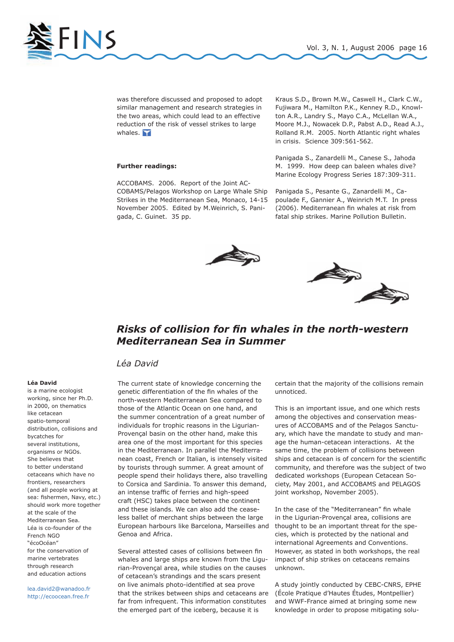

was therefore discussed and proposed to adopt similar management and research strategies in the two areas, which could lead to an effective reduction of the risk of vessel strikes to large whales.  $\blacksquare$ 

### **Further readings:**

ACCOBAMS. 2006. Report of the Joint AC-COBAMS/Pelagos Workshop on Large Whale Ship Strikes in the Mediterranean Sea, Monaco, 14-15 November 2005. Edited by M.Weinrich, S. Panigada, C. Guinet. 35 pp.

Kraus S.D., Brown M.W., Caswell H., Clark C.W., Fujiwara M., Hamilton P.K., Kenney R.D., Knowlton A.R., Landry S., Mayo C.A., McLellan W.A., Moore M.J., Nowacek D.P., Pabst A.D., Read A.J., Rolland R.M. 2005. North Atlantic right whales in crisis. Science 309:561-562.

Panigada S., Zanardelli M., Canese S., Jahoda M. 1999. How deep can baleen whales dive? Marine Ecology Progress Series 187:309-311.

Panigada S., Pesante G., Zanardelli M., Capoulade F., Gannier A., Weinrich M.T. In press (2006). Mediterranean fin whales at risk from fatal ship strikes. Marine Pollution Bulletin.





## *Risks of collision for fin whales in the north-western Mediterranean Sea in Summer*

### *Léa David*

### **Léa David**

is a marine ecologist working, since her Ph.D. in 2000, on thematics like cetacean spatio-temporal distribution, collisions and bycatches for several institutions, organisms or NGOs. She believes that to better understand cetaceans which have no frontiers, researchers (and all people working at sea: fishermen, Navy, etc.) should work more together at the scale of the Mediterranean Sea. Léa is co-founder of the French NGO "écoOcéan" for the conservation of marine vertebrates through research and education actions

lea.david2@wanadoo.fr http://ecoocean.free.fr

The current state of knowledge concerning the genetic differentiation of the fin whales of the north-western Mediterranean Sea compared to those of the Atlantic Ocean on one hand, and the summer concentration of a great number of individuals for trophic reasons in the Ligurian-Provençal basin on the other hand, make this area one of the most important for this species in the Mediterranean. In parallel the Mediterranean coast, French or Italian, is intensely visited by tourists through summer. A great amount of people spend their holidays there, also travelling to Corsica and Sardinia. To answer this demand, an intense traffic of ferries and high-speed craft (HSC) takes place between the continent and these islands. We can also add the ceaseless ballet of merchant ships between the large European harbours like Barcelona, Marseilles and Genoa and Africa.

Several attested cases of collisions between fin whales and large ships are known from the Ligurian-Provençal area, while studies on the causes of cetacean's strandings and the scars present on live animals photo-identified at sea prove that the strikes between ships and cetaceans are far from infrequent. This information constitutes the emerged part of the iceberg, because it is

certain that the majority of the collisions remain unnoticed.

This is an important issue, and one which rests among the objectives and conservation measures of ACCOBAMS and of the Pelagos Sanctuary, which have the mandate to study and manage the human-cetacean interactions. At the same time, the problem of collisions between ships and cetacean is of concern for the scientific community, and therefore was the subject of two dedicated workshops (European Cetacean Society, May 2001, and ACCOBAMS and PELAGOS joint workshop, November 2005).

In the case of the "Mediterranean" fin whale in the Ligurian-Provençal area, collisions are thought to be an important threat for the species, which is protected by the national and international Agreements and Conventions. However, as stated in both workshops, the real impact of ship strikes on cetaceans remains unknown.

A study jointly conducted by CEBC-CNRS, EPHE (École Pratique d'Hautes Études, Montpellier) and WWF-France aimed at bringing some new knowledge in order to propose mitigating solu-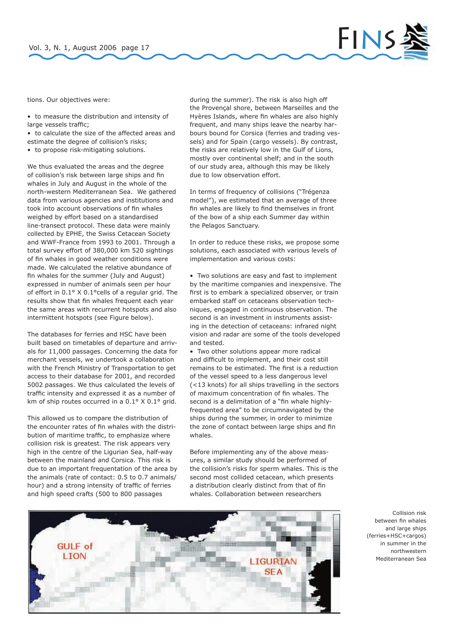

tions. Our objectives were:

- to measure the distribution and intensity of large vessels traffic;
- to calculate the size of the affected areas and estimate the degree of collision's risks;
- to propose risk-mitigating solutions.

We thus evaluated the areas and the degree of collision's risk between large ships and fin whales in July and August in the whole of the north-western Mediterranean Sea. We gathered data from various agencies and institutions and took into account observations of fin whales weighed by effort based on a standardised line-transect protocol. These data were mainly collected by EPHE, the Swiss Cetacean Society and WWF-France from 1993 to 2001. Through a total survey effort of 380,000 km 520 sightings of fin whales in good weather conditions were made. We calculated the relative abundance of fin whales for the summer (July and August) expressed in number of animals seen per hour of effort in 0.1° X 0.1°cells of a regular grid. The results show that fin whales frequent each year the same areas with recurrent hotspots and also intermittent hotspots (see Figure below).

The databases for ferries and HSC have been built based on timetables of departure and arrivals for 11,000 passages. Concerning the data for merchant vessels, we undertook a collaboration with the French Ministry of Transportation to get access to their database for 2001, and recorded 5002 passages. We thus calculated the levels of traffic intensity and expressed it as a number of km of ship routes occurred in a 0.1° X 0.1° grid.

This allowed us to compare the distribution of the encounter rates of fin whales with the distribution of maritime traffic, to emphasize where collision risk is greatest. The risk appears very high in the centre of the Ligurian Sea, half-way between the mainland and Corsica. This risk is due to an important frequentation of the area by the animals (rate of contact: 0.5 to 0.7 animals/ hour) and a strong intensity of traffic of ferries and high speed crafts (500 to 800 passages

during the summer). The risk is also high off the Provençal shore, between Marseilles and the Hyères Islands, where fin whales are also highly frequent, and many ships leave the nearby harbours bound for Corsica (ferries and trading vessels) and for Spain (cargo vessels). By contrast, the risks are relatively low in the Gulf of Lions, mostly over continental shelf; and in the south of our study area, although this may be likely due to low observation effort.

In terms of frequency of collisions ("Trégenza model"), we estimated that an average of three fin whales are likely to find themselves in front of the bow of a ship each Summer day within the Pelagos Sanctuary.

In order to reduce these risks, we propose some solutions, each associated with various levels of implementation and various costs:

• Two solutions are easy and fast to implement by the maritime companies and inexpensive. The first is to embark a specialized observer, or train embarked staff on cetaceans observation techniques, engaged in continuous observation. The second is an investment in instruments assisting in the detection of cetaceans: infrared night vision and radar are some of the tools developed and tested.

• Two other solutions appear more radical and difficult to implement, and their cost still remains to be estimated. The first is a reduction of the vessel speed to a less dangerous level (<13 knots) for all ships travelling in the sectors of maximum concentration of fin whales. The second is a delimitation of a "fin whale highlyfrequented area" to be circumnavigated by the ships during the summer, in order to minimize the zone of contact between large ships and fin whales.

Before implementing any of the above measures, a similar study should be performed of the collision's risks for sperm whales. This is the second most collided cetacean, which presents a distribution clearly distinct from that of fin whales. Collaboration between researchers



Collision risk between fin whales and large ships (ferries+HSC+cargos) in summer in the northwestern Mediterranean Sea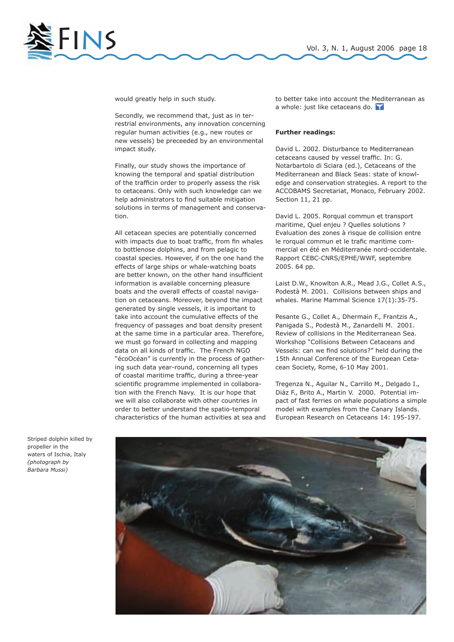

would greatly help in such study.

Secondly, we recommend that, just as in terrestrial environments, any innovation concerning regular human activities (e.g., new routes or new vessels) be preceeded by an environmental impact study.

Finally, our study shows the importance of knowing the temporal and spatial distribution of the trafficin order to properly assess the risk to cetaceans. Only with such knowledge can we help administrators to find suitable mitigation solutions in terms of management and conservation.

All cetacean species are potentially concerned with impacts due to boat traffic, from fin whales to bottlenose dolphins, and from pelagic to coastal species. However, if on the one hand the effects of large ships or whale-watching boats are better known, on the other hand insufficient information is available concerning pleasure boats and the overall effects of coastal navigation on cetaceans. Moreover, beyond the impact generated by single vessels, it is important to take into account the cumulative effects of the frequency of passages and boat density present at the same time in a particular area. Therefore, we must go forward in collecting and mapping data on all kinds of traffic. The French NGO "écoOcéan" is currently in the process of gathering such data year-round, concerning all types of coastal maritime traffic, during a three-year scientific programme implemented in collaboration with the French Navy. It is our hope that we will also collaborate with other countries in order to better understand the spatio-temporal characteristics of the human activities at sea and to better take into account the Mediterranean as a whole: just like cetaceans do.

### **Further readings:**

David L. 2002. Disturbance to Mediterranean cetaceans caused by vessel traffic. In: G. Notarbartolo di Sciara (ed.), Cetaceans of the Mediterranean and Black Seas: state of knowledge and conservation strategies. A report to the ACCOBAMS Secretariat, Monaco, February 2002. Section 11, 21 pp.

David L. 2005. Rorqual commun et transport maritime, Quel enjeu ? Quelles solutions ? Evaluation des zones à risque de collision entre le rorqual commun et le trafic maritime commercial en été en Méditerranée nord-occidentale. Rapport CEBC-CNRS/EPHE/WWF, septembre 2005. 64 pp.

Laist D.W., Knowlton A.R., Mead J.G., Collet A.S., Podestà M. 2001. Collisions between ships and whales. Marine Mammal Science 17(1):35-75.

Pesante G., Collet A., Dhermain F., Frantzis A., Panigada S., Podestà M., Zanardelli M. 2001. Review of collisions in the Mediterranean Sea. Workshop "Collisions Between Cetaceans and Vessels: can we find solutions?" held during the 15th Annual Conference of the European Cetacean Society, Rome, 6-10 May 2001.

Tregenza N., Aguilar N., Carrillo M., Delgado I., Diáz F., Brito A., Martin V. 2000. Potential impact of fast ferries on whale populations a simple model with examples from the Canary Islands. European Research on Cetaceans 14: 195-197.



Striped dolphin killed by propeller in the waters of Ischia, Italy *(photograph by Barbara Mussi)*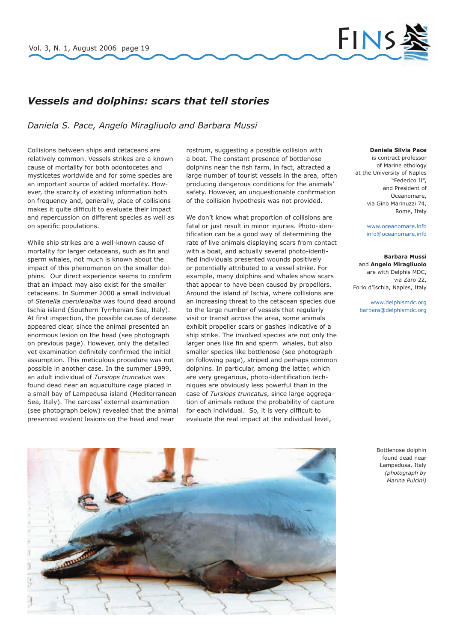

## *Vessels and dolphins: scars that tell stories*

*Daniela S. Pace, Angelo Miragliuolo and Barbara Mussi*

Collisions between ships and cetaceans are relatively common. Vessels strikes are a known cause of mortality for both odontocetes and mysticetes worldwide and for some species are an important source of added mortality. However, the scarcity of existing information both on frequency and, generally, place of collisions makes it quite difficult to evaluate their impact and repercussion on different species as well as on specific populations.

While ship strikes are a well-known cause of mortality for larger cetaceans, such as fin and sperm whales, not much is known about the impact of this phenomenon on the smaller dolphins. Our direct experience seems to confirm that an impact may also exist for the smaller cetaceans. In Summer 2000 a small individual of *Stenella coeruleoalba* was found dead around Ischia island (Southern Tyrrhenian Sea, Italy). At first inspection, the possible cause of decease appeared clear, since the animal presented an enormous lesion on the head (see photograph on previous page). However, only the detailed vet examination definitely confirmed the initial assumption. This meticulous procedure was not possible in another case. In the summer 1999, an adult individual of *Tursiops truncatus* was found dead near an aquaculture cage placed in a small bay of Lampedusa island (Mediterranean Sea, Italy). The carcass' external examination (see photograph below) revealed that the animal presented evident lesions on the head and near

rostrum, suggesting a possible collision with a boat. The constant presence of bottlenose dolphins near the fish farm, in fact, attracted a large number of tourist vessels in the area, often producing dangerous conditions for the animals' safety. However, an unquestionable confirmation of the collision hypothesis was not provided.

We don't know what proportion of collisions are fatal or just result in minor injuries. Photo-identification can be a good way of determining the rate of live animals displaying scars from contact with a boat, and actually several photo-identified individuals presented wounds positively or potentially attributed to a vessel strike. For example, many dolphins and whales show scars that appear to have been caused by propellers. Around the island of Ischia, where collisions are an increasing threat to the cetacean species due to the large number of vessels that regularly visit or transit across the area, some animals exhibit propeller scars or gashes indicative of a ship strike. The involved species are not only the larger ones like fin and sperm whales, but also smaller species like bottlenose (see photograph on following page), striped and perhaps common dolphins. In particular, among the latter, which are very gregarious, photo-identification techniques are obviously less powerful than in the case of *Tursiops truncatus*, since large aggregation of animals reduce the probability of capture for each individual. So, it is very difficult to evaluate the real impact at the individual level,

### **Daniela Silvia Pace**

is contract professor of Marine ethology at the University of Naples "Federico II", and President of Oceanomare, via Gino Marinuzzi 74, Rome, Italy

> www.oceanomare.info info@oceanomare.info

#### **Barbara Mussi**  and **Angelo Miragliuolo**

are with Delphis MDC, via Zaro 22, Forio d'Ischia, Naples, Italy

www.delphismdc.org barbara@delphismdc.org

> Bottlenose dolphin found dead near Lampedusa, Italy *(photograph by Marina Pulcini)*

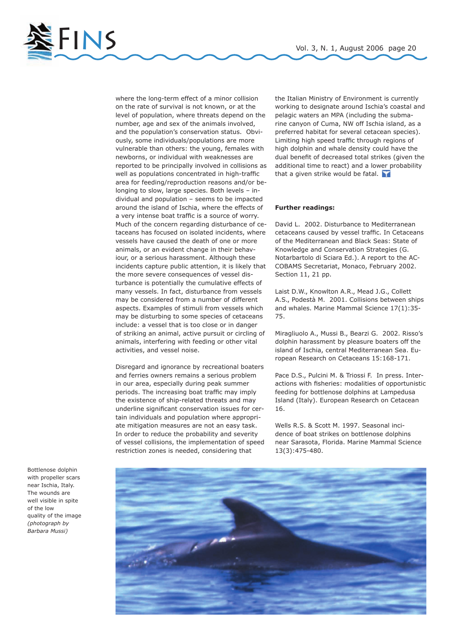

where the long-term effect of a minor collision on the rate of survival is not known, or at the level of population, where threats depend on the number, age and sex of the animals involved, and the population's conservation status. Obviously, some individuals/populations are more vulnerable than others: the young, females with newborns, or individual with weaknesses are reported to be principally involved in collisions as well as populations concentrated in high-traffic area for feeding/reproduction reasons and/or belonging to slow, large species. Both levels – individual and population – seems to be impacted around the island of Ischia, where the effects of a very intense boat traffic is a source of worry. Much of the concern regarding disturbance of cetaceans has focused on isolated incidents, where vessels have caused the death of one or more animals, or an evident change in their behaviour, or a serious harassment. Although these incidents capture public attention, it is likely that the more severe consequences of vessel disturbance is potentially the cumulative effects of many vessels. In fact, disturbance from vessels may be considered from a number of different aspects. Examples of stimuli from vessels which may be disturbing to some species of cetaceans include: a vessel that is too close or in danger of striking an animal, active pursuit or circling of animals, interfering with feeding or other vital activities, and vessel noise.

Disregard and ignorance by recreational boaters and ferries owners remains a serious problem in our area, especially during peak summer periods. The increasing boat traffic may imply the existence of ship-related threats and may underline significant conservation issues for certain individuals and population where appropriate mitigation measures are not an easy task. In order to reduce the probability and severity of vessel collisions, the implementation of speed restriction zones is needed, considering that

the Italian Ministry of Environment is currently working to designate around Ischia's coastal and pelagic waters an MPA (including the submarine canyon of Cuma, NW off Ischia island, as a preferred habitat for several cetacean species). Limiting high speed traffic through regions of high dolphin and whale density could have the dual benefit of decreased total strikes (given the additional time to react) and a lower probability that a given strike would be fatal.

### **Further readings:**

David L. 2002. Disturbance to Mediterranean cetaceans caused by vessel traffic. In Cetaceans of the Mediterranean and Black Seas: State of Knowledge and Conservation Strategies (G. Notarbartolo di Sciara Ed.). A report to the AC-COBAMS Secretariat, Monaco, February 2002. Section 11, 21 pp.

Laist D.W., Knowlton A.R., Mead J.G., Collett A.S., Podestà M. 2001. Collisions between ships and whales. Marine Mammal Science 17(1):35- 75.

Miragliuolo A., Mussi B., Bearzi G. 2002. Risso's dolphin harassment by pleasure boaters off the island of Ischia, central Mediterranean Sea. European Research on Cetaceans 15:168-171.

Pace D.S., Pulcini M. & Triossi F. In press. Interactions with fisheries: modalities of opportunistic feeding for bottlenose dolphins at Lampedusa Island (Italy). European Research on Cetacean 16.

Wells R.S. & Scott M. 1997. Seasonal incidence of boat strikes on bottlenose dolphins near Sarasota, Florida. Marine Mammal Science 13(3):475-480.



Bottlenose dolphin with propeller scars near Ischia, Italy. The wounds are well visible in spite of the low quality of the image *(photograph by Barbara Mussi)*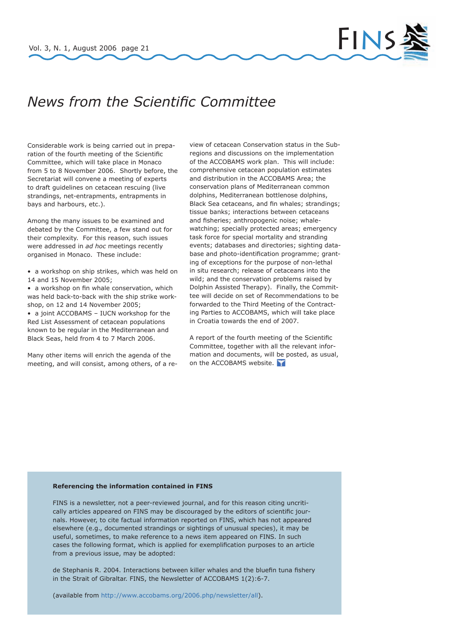

# *News from the Scientific Committee*

Considerable work is being carried out in preparation of the fourth meeting of the Scientific Committee, which will take place in Monaco from 5 to 8 November 2006. Shortly before, the Secretariat will convene a meeting of experts to draft guidelines on cetacean rescuing (live strandings, net-entrapments, entrapments in bays and harbours, etc.).

Among the many issues to be examined and debated by the Committee, a few stand out for their complexity. For this reason, such issues were addressed in *ad hoc* meetings recently organised in Monaco. These include:

- a workshop on ship strikes, which was held on 14 and 15 November 2005;
- a workshop on fin whale conservation, which was held back-to-back with the ship strike workshop, on 12 and 14 November 2005;

• a joint ACCOBAMS – IUCN workshop for the Red List Assessment of cetacean populations known to be regular in the Mediterranean and Black Seas, held from 4 to 7 March 2006.

Many other items will enrich the agenda of the meeting, and will consist, among others, of a review of cetacean Conservation status in the Subregions and discussions on the implementation of the ACCOBAMS work plan. This will include: comprehensive cetacean population estimates and distribution in the ACCOBAMS Area; the conservation plans of Mediterranean common dolphins, Mediterranean bottlenose dolphins, Black Sea cetaceans, and fin whales; strandings; tissue banks; interactions between cetaceans and fisheries; anthropogenic noise; whalewatching; specially protected areas; emergency task force for special mortality and stranding events; databases and directories; sighting database and photo-identification programme; granting of exceptions for the purpose of non-lethal in situ research; release of cetaceans into the wild; and the conservation problems raised by Dolphin Assisted Therapy). Finally, the Committee will decide on set of Recommendations to be forwarded to the Third Meeting of the Contracting Parties to ACCOBAMS, which will take place in Croatia towards the end of 2007.

A report of the fourth meeting of the Scientific Committee, together with all the relevant information and documents, will be posted, as usual, on the ACCOBAMS website.

### **Referencing the information contained in FINS**

FINS is a newsletter, not a peer-reviewed journal, and for this reason citing uncritically articles appeared on FINS may be discouraged by the editors of scientific journals. However, to cite factual information reported on FINS, which has not appeared elsewhere (e.g., documented strandings or sightings of unusual species), it may be useful, sometimes, to make reference to a news item appeared on FINS. In such cases the following format, which is applied for exemplification purposes to an article from a previous issue, may be adopted:

de Stephanis R. 2004. Interactions between killer whales and the bluefin tuna fishery in the Strait of Gibraltar. FINS, the Newsletter of ACCOBAMS 1(2):6-7.

(available from http://www.accobams.org/2006.php/newsletter/all).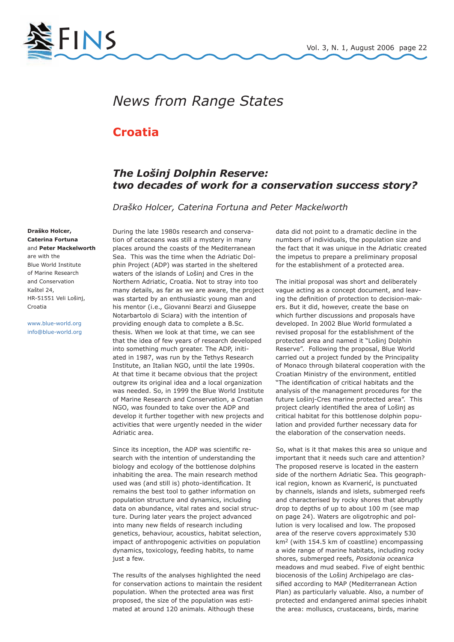

# *News from Range States*

## **Croatia**

## *The Lošinj Dolphin Reserve: two decades of work for a conservation success story?*

*Draško Holcer, Caterina Fortuna and Peter Mackelworth*

**Draško Holcer, Caterina Fortuna**  and **Peter Mackelworth** are with the Blue World Institute of Marine Research and Conservation Kaštel 24, HR-51551 Veli Lošinj, Croatia

www.blue-world.org info@blue-world.org During the late 1980s research and conservation of cetaceans was still a mystery in many places around the coasts of the Mediterranean Sea. This was the time when the Adriatic Dolphin Project (ADP) was started in the sheltered waters of the islands of Lošinj and Cres in the Northern Adriatic, Croatia. Not to stray into too many details, as far as we are aware, the project was started by an enthusiastic young man and his mentor (i.e., Giovanni Bearzi and Giuseppe Notarbartolo di Sciara) with the intention of providing enough data to complete a B.Sc. thesis. When we look at that time, we can see that the idea of few years of research developed into something much greater. The ADP, initiated in 1987, was run by the Tethys Research Institute, an Italian NGO, until the late 1990s. At that time it became obvious that the project outgrew its original idea and a local organization was needed. So, in 1999 the Blue World Institute of Marine Research and Conservation, a Croatian NGO, was founded to take over the ADP and develop it further together with new projects and activities that were urgently needed in the wider Adriatic area.

Since its inception, the ADP was scientific research with the intention of understanding the biology and ecology of the bottlenose dolphins inhabiting the area. The main research method used was (and still is) photo-identification. It remains the best tool to gather information on population structure and dynamics, including data on abundance, vital rates and social structure. During later years the project advanced into many new fields of research including genetics, behaviour, acoustics, habitat selection, impact of anthropogenic activities on population dynamics, toxicology, feeding habits, to name just a few.

The results of the analyses highlighted the need for conservation actions to maintain the resident population. When the protected area was first proposed, the size of the population was estimated at around 120 animals. Although these

data did not point to a dramatic decline in the numbers of individuals, the population size and the fact that it was unique in the Adriatic created the impetus to prepare a preliminary proposal for the establishment of a protected area.

The initial proposal was short and deliberately vague acting as a concept document, and leaving the definition of protection to decision-makers. But it did, however, create the base on which further discussions and proposals have developed. In 2002 Blue World formulated a revised proposal for the establishment of the protected area and named it "Lošinj Dolphin Reserve". Following the proposal, Blue World carried out a project funded by the Principality of Monaco through bilateral cooperation with the Croatian Ministry of the environment, entitled "The identification of critical habitats and the analysis of the management procedures for the future Lošinj-Cres marine protected area". This project clearly identified the area of Lošinj as critical habitat for this bottlenose dolphin population and provided further necessary data for the elaboration of the conservation needs.

So, what is it that makes this area so unique and important that it needs such care and attention? The proposed reserve is located in the eastern side of the northern Adriatic Sea. This geographical region, known as Kvarnerić, is punctuated by channels, islands and islets, submerged reefs and characterised by rocky shores that abruptly drop to depths of up to about 100 m (see map on page 24). Waters are oligotrophic and pollution is very localised and low. The proposed area of the reserve covers approximately 530 km2 (with 154.5 km of coastline) encompassing a wide range of marine habitats, including rocky shores, submerged reefs, *Posidonia oceanica*  meadows and mud seabed. Five of eight benthic biocenosis of the Lošinj Archipelago are classified according to MAP (Mediterranean Action Plan) as particularly valuable. Also, a number of protected and endangered animal species inhabit the area: molluscs, crustaceans, birds, marine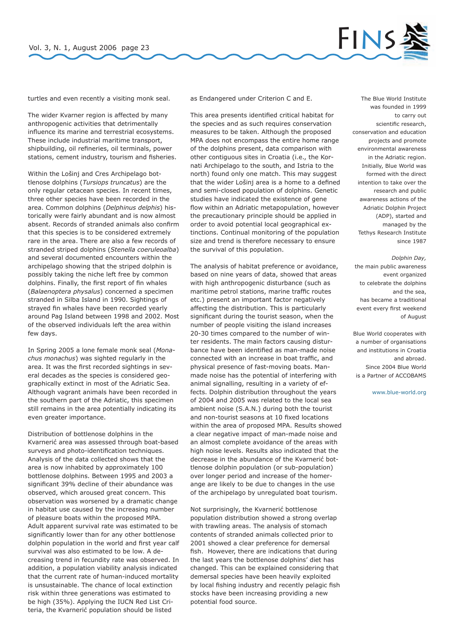

turtles and even recently a visiting monk seal.

The wider Kvarner region is affected by many anthropogenic activities that detrimentally influence its marine and terrestrial ecosystems. These include industrial maritime transport, shipbuilding, oil refineries, oil terminals, power stations, cement industry, tourism and fisheries.

Within the Lošinj and Cres Archipelago bottlenose dolphins (*Tursiops truncatus*) are the only regular cetacean species. In recent times, three other species have been recorded in the area. Common dolphins (*Delphinus delphis*) historically were fairly abundant and is now almost absent. Records of stranded animals also confirm that this species is to be considered extremely rare in the area. There are also a few records of stranded striped dolphins (*Stenella coeruleoalba*) and several documented encounters within the archipelago showing that the striped dolphin is possibly taking the niche left free by common dolphins. Finally, the first report of fin whales (*Balaenoptera physalus*) concerned a specimen stranded in Silba Island in 1990. Sightings of strayed fin whales have been recorded yearly around Pag Island between 1998 and 2002. Most of the observed individuals left the area within few days.

In Spring 2005 a lone female monk seal (*Monachus monachus*) was sighted regularly in the area. It was the first recorded sightings in several decades as the species is considered geographically extinct in most of the Adriatic Sea. Although vagrant animals have been recorded in the southern part of the Adriatic, this specimen still remains in the area potentially indicating its even greater importance.

Distribution of bottlenose dolphins in the Kvarnerić area was assessed through boat-based surveys and photo-identification techniques. Analysis of the data collected shows that the area is now inhabited by approximately 100 bottlenose dolphins. Between 1995 and 2003 a significant 39% decline of their abundance was observed, which aroused great concern. This observation was worsened by a dramatic change in habitat use caused by the increasing number of pleasure boats within the proposed MPA. Adult apparent survival rate was estimated to be significantly lower than for any other bottlenose dolphin population in the world and first year calf survival was also estimated to be low. A decreasing trend in fecundity rate was observed. In addition, a population viability analysis indicated that the current rate of human-induced mortality is unsustainable. The chance of local extinction risk within three generations was estimated to be high (35%). Applying the IUCN Red List Criteria, the Kvarnerić population should be listed

as Endangered under Criterion C and E.

This area presents identified critical habitat for the species and as such requires conservation measures to be taken. Although the proposed MPA does not encompass the entire home range of the dolphins present, data comparison with other contiguous sites in Croatia (i.e., the Kornati Archipelago to the south, and Istria to the north) found only one match. This may suggest that the wider Lošinj area is a home to a defined and semi-closed population of dolphins. Genetic studies have indicated the existence of gene flow within an Adriatic metapopulation, however the precautionary principle should be applied in order to avoid potential local geographical extinctions. Continual monitoring of the population size and trend is therefore necessary to ensure the survival of this population.

The analysis of habitat preference or avoidance, based on nine years of data, showed that areas with high anthropogenic disturbance (such as maritime petrol stations, marine traffic routes etc.) present an important factor negatively affecting the distribution. This is particularly significant during the tourist season, when the number of people visiting the island increases 20-30 times compared to the number of winter residents. The main factors causing disturbance have been identified as man-made noise connected with an increase in boat traffic, and physical presence of fast-moving boats. Manmade noise has the potential of interfering with animal signalling, resulting in a variety of effects. Dolphin distribution throughout the years of 2004 and 2005 was related to the local sea ambient noise (S.A.N.) during both the tourist and non-tourist seasons at 10 fixed locations within the area of proposed MPA. Results showed a clear negative impact of man-made noise and an almost complete avoidance of the areas with high noise levels. Results also indicated that the decrease in the abundance of the Kvarnerić bottlenose dolphin population (or sub-population) over longer period and increase of the homerange are likely to be due to changes in the use of the archipelago by unregulated boat tourism.

Not surprisingly, the Kvarnerić bottlenose population distribution showed a strong overlap with trawling areas. The analysis of stomach contents of stranded animals collected prior to 2001 showed a clear preference for demersal fish. However, there are indications that during the last years the bottlenose dolphins' diet has changed. This can be explained considering that demersal species have been heavily exploited by local fishing industry and recently pelagic fish stocks have been increasing providing a new potential food source.

The Blue World Institute was founded in 1999 to carry out scientific research, conservation and education projects and promote environmental awareness in the Adriatic region. Initially, Blue World was formed with the direct intention to take over the research and public awareness actions of the Adriatic Dolphin Project (ADP), started and managed by the Tethys Research Institute since 1987

### *Dolphin Day,*  the main public awareness event organized to celebrate the dolphins and the sea, has became a traditional event every first weekend of August

Blue World cooperates with a number of organisations and institutions in Croatia and abroad. Since 2004 Blue World is a Partner of ACCOBAMS

www.blue-world.org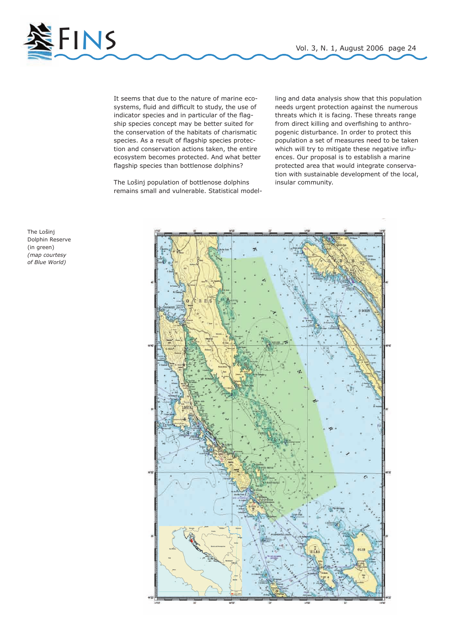

It seems that due to the nature of marine ecosystems, fluid and difficult to study, the use of indicator species and in particular of the flagship species concept may be better suited for the conservation of the habitats of charismatic species. As a result of flagship species protection and conservation actions taken, the entire ecosystem becomes protected. And what better flagship species than bottlenose dolphins?

The Lošinj population of bottlenose dolphins remains small and vulnerable. Statistical model-

ling and data analysis show that this population needs urgent protection against the numerous threats which it is facing. These threats range from direct killing and overfishing to anthropogenic disturbance. In order to protect this population a set of measures need to be taken which will try to mitigate these negative influences. Our proposal is to establish a marine protected area that would integrate conservation with sustainable development of the local, insular community.



The Lošinj Dolphin Reserve (in green) *(map courtesy of Blue World)*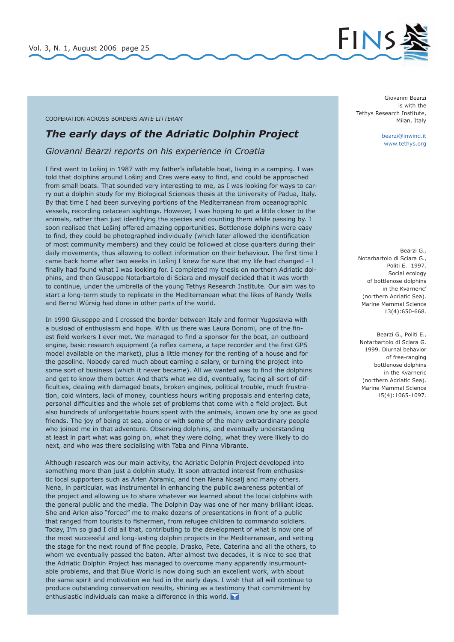

### COOPERATION ACROSS BORDERS *ANTE LITTERAM*

### *The early days of the Adriatic Dolphin Project*

*Giovanni Bearzi reports on his experience in Croatia*

I first went to Lošinj in 1987 with my father's inflatable boat, living in a camping. I was told that dolphins around Lošinj and Cres were easy to find, and could be approached from small boats. That sounded very interesting to me, as I was looking for ways to carry out a dolphin study for my Biological Sciences thesis at the University of Padua, Italy. By that time I had been surveying portions of the Mediterranean from oceanographic vessels, recording cetacean sightings. However, I was hoping to get a little closer to the animals, rather than just identifying the species and counting them while passing by. I soon realised that Lošinj offered amazing opportunities. Bottlenose dolphins were easy to find, they could be photographed individually (which later allowed the identification of most community members) and they could be followed at close quarters during their daily movements, thus allowing to collect information on their behaviour. The first time I came back home after two weeks in Lošinj I knew for sure that my life had changed - I finally had found what I was looking for. I completed my thesis on northern Adriatic dolphins, and then Giuseppe Notarbartolo di Sciara and myself decided that it was worth to continue, under the umbrella of the young Tethys Research Institute. Our aim was to start a long-term study to replicate in the Mediterranean what the likes of Randy Wells and Bernd Würsig had done in other parts of the world.

In 1990 Giuseppe and I crossed the border between Italy and former Yugoslavia with a busload of enthusiasm and hope. With us there was Laura Bonomi, one of the finest field workers I ever met. We managed to find a sponsor for the boat, an outboard engine, basic research equipment (a reflex camera, a tape recorder and the first GPS model available on the market), plus a little money for the renting of a house and for the gasoline. Nobody cared much about earning a salary, or turning the project into some sort of business (which it never became). All we wanted was to find the dolphins and get to know them better. And that's what we did, eventually, facing all sort of difficulties, dealing with damaged boats, broken engines, political trouble, much frustration, cold winters, lack of money, countless hours writing proposals and entering data, personal difficulties and the whole set of problems that come with a field project. But also hundreds of unforgettable hours spent with the animals, known one by one as good friends. The joy of being at sea, alone or with some of the many extraordinary people who joined me in that adventure. Observing dolphins, and eventually understanding at least in part what was going on, what they were doing, what they were likely to do next, and who was there socialising with Taba and Pinna Vibrante.

Although research was our main activity, the Adriatic Dolphin Project developed into something more than just a dolphin study. It soon attracted interest from enthusiastic local supporters such as Arlen Abramic, and then Nena Nosalj and many others. Nena, in particular, was instrumental in enhancing the public awareness potential of the project and allowing us to share whatever we learned about the local dolphins with the general public and the media. The Dolphin Day was one of her many brilliant ideas. She and Arlen also "forced" me to make dozens of presentations in front of a public that ranged from tourists to fishermen, from refugee children to commando soldiers. Today, I'm so glad I did all that, contributing to the development of what is now one of the most successful and long-lasting dolphin projects in the Mediterranean, and setting the stage for the next round of fine people, Drasko, Pete, Caterina and all the others, to whom we eventually passed the baton. After almost two decades, it is nice to see that the Adriatic Dolphin Project has managed to overcome many apparently insurmountable problems, and that Blue World is now doing such an excellent work, with about the same spirit and motivation we had in the early days. I wish that all will continue to produce outstanding conservation results, shining as a testimony that commitment by enthusiastic individuals can make a difference in this world.

Giovanni Bearzi is with the Tethys Research Institute, Milan, Italy

> bearzi@inwind.it www.tethys.org

Bearzi G., Notarbartolo di Sciara G., Politi E. 1997. Social ecology of bottlenose dolphins in the Kvarneric' (northern Adriatic Sea). Marine Mammal Science 13(4):650-668.

Bearzi G., Politi E., Notarbartolo di Sciara G. 1999. Diurnal behavior of free-ranging bottlenose dolphins in the Kvarneric (northern Adriatic Sea). Marine Mammal Science 15(4):1065-1097.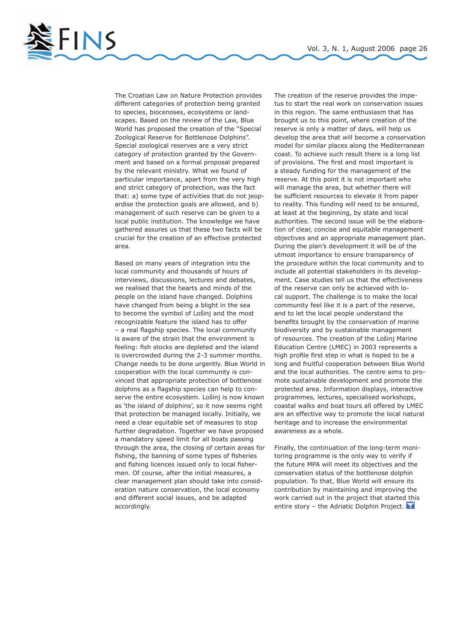

The Croatian Law on Nature Protection provides different categories of protection being granted to species, biocenoses, ecosystems or landscapes. Based on the review of the Law, Blue World has proposed the creation of the "Special Zoological Reserve for Bottlenose Dolphins". Special zoological reserves are a very strict category of protection granted by the Government and based on a formal proposal prepared by the relevant ministry. What we found of particular importance, apart from the very high and strict category of protection, was the fact that: a) some type of activities that do not jeopardise the protection goals are allowed, and b) management of such reserve can be given to a local public institution. The knowledge we have gathered assures us that these two facts will be crucial for the creation of an effective protected area.

Based on many years of integration into the local community and thousands of hours of interviews, discussions, lectures and debates, we realised that the hearts and minds of the people on the island have changed. Dolphins have changed from being a blight in the sea to become the symbol of Lošinj and the most recognizable feature the island has to offer – a real flagship species. The local community is aware of the strain that the environment is feeling: fish stocks are depleted and the island is overcrowded during the 2-3 summer months. Change needs to be done urgently. Blue World in cooperation with the local community is convinced that appropriate protection of bottlenose dolphins as a flagship species can help to conserve the entire ecosystem. Lošinj is now known as 'the island of dolphins', so it now seems right that protection be managed locally. Initially, we need a clear equitable set of measures to stop further degradation. Together we have proposed a mandatory speed limit for all boats passing through the area, the closing of certain areas for fishing, the banning of some types of fisheries and fishing licences issued only to local fishermen. Of course, after the initial measures, a clear management plan should take into consideration nature conservation, the local economy and different social issues, and be adapted accordingly.

The creation of the reserve provides the impetus to start the real work on conservation issues in this region. The same enthusiasm that has brought us to this point, where creation of the reserve is only a matter of days, will help us develop the area that will become a conservation model for similar places along the Mediterranean coast. To achieve such result there is a long list of provisions. The first and most important is a steady funding for the management of the reserve. At this point it is not important who will manage the area, but whether there will be sufficient resources to elevate it from paper to reality. This funding will need to be ensured, at least at the beginning, by state and local authorities. The second issue will be the elaboration of clear, concise and equitable management objectives and an appropriate management plan. During the plan's development it will be of the utmost importance to ensure transparency of the procedure within the local community and to include all potential stakeholders in its development. Case studies tell us that the effectiveness of the reserve can only be achieved with local support. The challenge is to make the local community feel like it is a part of the reserve, and to let the local people understand the benefits brought by the conservation of marine biodiversity and by sustainable management of resources. The creation of the Lošinj Marine Education Centre (LMEC) in 2003 represents a high profile first step in what is hoped to be a long and fruitful cooperation between Blue World and the local authorities. The centre aims to promote sustainable development and promote the protected area. Information displays, interactive programmes, lectures, specialised workshops, coastal walks and boat tours all offered by LMEC are an effective way to promote the local natural heritage and to increase the environmental awareness as a whole.

Finally, the continuation of the long-term monitoring programme is the only way to verify if the future MPA will meet its objectives and the conservation status of the bottlenose dolphin population. To that, Blue World will ensure its contribution by maintaining and improving the work carried out in the project that started this entire story – the Adriatic Dolphin Project.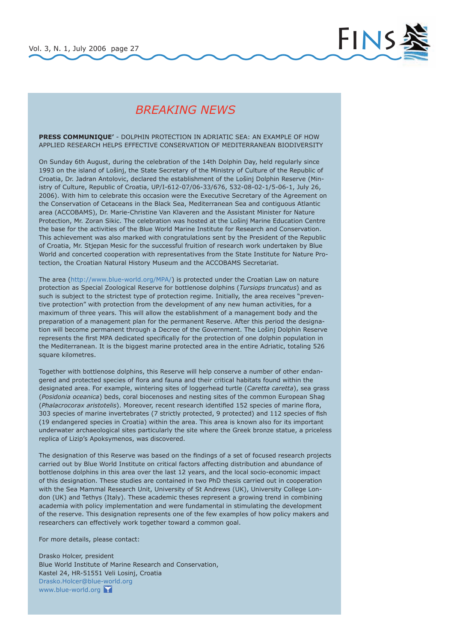

## *BREAKING NEWS*

**PRESS COMMUNIQUE'** - DOLPHIN PROTECTION IN ADRIATIC SEA: AN EXAMPLE OF HOW APPLIED RESEARCH HELPS EFFECTIVE CONSERVATION OF MEDITERRANEAN BIODIVERSITY

On Sunday 6th August, during the celebration of the 14th Dolphin Day, held regularly since 1993 on the island of Lošinj, the State Secretary of the Ministry of Culture of the Republic of Croatia, Dr. Jadran Antolovic, declared the establishment of the Lošinj Dolphin Reserve (Ministry of Culture, Republic of Croatia, UP/I-612-07/06-33/676, 532-08-02-1/5-06-1, July 26, 2006). With him to celebrate this occasion were the Executive Secretary of the Agreement on the Conservation of Cetaceans in the Black Sea, Mediterranean Sea and contiguous Atlantic area (ACCOBAMS), Dr. Marie-Christine Van Klaveren and the Assistant Minister for Nature Protection, Mr. Zoran Sikic. The celebration was hosted at the Lošinj Marine Education Centre the base for the activities of the Blue World Marine Institute for Research and Conservation. This achievement was also marked with congratulations sent by the President of the Republic of Croatia, Mr. Stjepan Mesic for the successful fruition of research work undertaken by Blue World and concerted cooperation with representatives from the State Institute for Nature Protection, the Croatian Natural History Museum and the ACCOBAMS Secretariat.

The area (http://www.blue-world.org/MPA/) is protected under the Croatian Law on nature protection as Special Zoological Reserve for bottlenose dolphins (*Tursiops truncatus*) and as such is subject to the strictest type of protection regime. Initially, the area receives "preventive protection" with protection from the development of any new human activities, for a maximum of three years. This will allow the establishment of a management body and the preparation of a management plan for the permanent Reserve. After this period the designation will become permanent through a Decree of the Government. The Lošinj Dolphin Reserve represents the first MPA dedicated specifically for the protection of one dolphin population in the Mediterranean. It is the biggest marine protected area in the entire Adriatic, totaling 526 square kilometres.

Together with bottlenose dolphins, this Reserve will help conserve a number of other endangered and protected species of flora and fauna and their critical habitats found within the designated area. For example, wintering sites of loggerhead turtle (*Caretta caretta*), sea grass (*Posidonia oceanica*) beds, coral biocenoses and nesting sites of the common European Shag (*Phalacrocorax aristotelis*). Moreover, recent research identified 152 species of marine flora, 303 species of marine invertebrates (7 strictly protected, 9 protected) and 112 species of fish (19 endangered species in Croatia) within the area. This area is known also for its important underwater archaeological sites particularly the site where the Greek bronze statue, a priceless replica of Lizip's Apoksymenos, was discovered.

The designation of this Reserve was based on the findings of a set of focused research projects carried out by Blue World Institute on critical factors affecting distribution and abundance of bottlenose dolphins in this area over the last 12 years, and the local socio-economic impact of this designation. These studies are contained in two PhD thesis carried out in cooperation with the Sea Mammal Research Unit, University of St Andrews (UK), University College London (UK) and Tethys (Italy). These academic theses represent a growing trend in combining academia with policy implementation and were fundamental in stimulating the development of the reserve. This designation represents one of the few examples of how policy makers and researchers can effectively work together toward a common goal.

For more details, please contact:

Drasko Holcer, president Blue World Institute of Marine Research and Conservation, Kastel 24, HR-51551 Veli Losinj, Croatia Drasko.Holcer@blue-world.org www.blue-world.org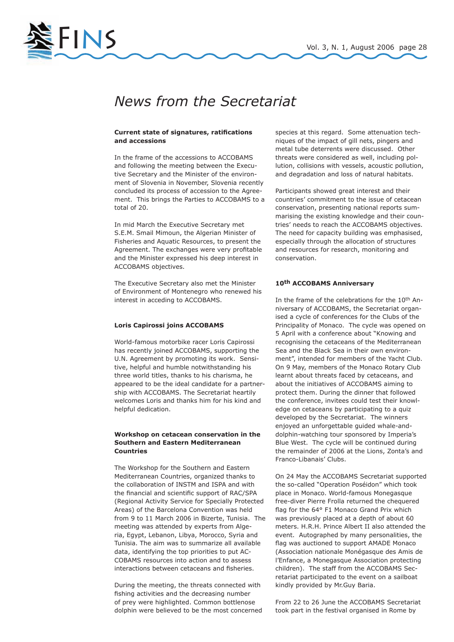

# *News from the Secretariat*

### **Current state of signatures, ratifications and accessions**

In the frame of the accessions to ACCOBAMS and following the meeting between the Executive Secretary and the Minister of the environment of Slovenia in November, Slovenia recently concluded its process of accession to the Agreement. This brings the Parties to ACCOBAMS to a total of 20.

In mid March the Executive Secretary met S.E.M. Smail Mimoun, the Algerian Minister of Fisheries and Aquatic Resources, to present the Agreement. The exchanges were very profitable and the Minister expressed his deep interest in ACCOBAMS objectives.

The Executive Secretary also met the Minister of Environment of Montenegro who renewed his interest in acceding to ACCOBAMS.

### **Loris Capirossi joins ACCOBAMS**

World-famous motorbike racer Loris Capirossi has recently joined ACCOBAMS, supporting the U.N. Agreement by promoting its work. Sensitive, helpful and humble notwithstanding his three world titles, thanks to his charisma, he appeared to be the ideal candidate for a partnership with ACCOBAMS. The Secretariat heartily welcomes Loris and thanks him for his kind and helpful dedication.

### **Workshop on cetacean conservation in the Southern and Eastern Mediterranean Countries**

The Workshop for the Southern and Eastern Mediterranean Countries, organized thanks to the collaboration of INSTM and ISPA and with the financial and scientific support of RAC/SPA (Regional Activity Service for Specially Protected Areas) of the Barcelona Convention was held from 9 to 11 March 2006 in Bizerte, Tunisia. The meeting was attended by experts from Algeria, Egypt, Lebanon, Libya, Morocco, Syria and Tunisia. The aim was to summarize all available data, identifying the top priorities to put AC-COBAMS resources into action and to assess interactions between cetaceans and fisheries.

During the meeting, the threats connected with fishing activities and the decreasing number of prey were highlighted. Common bottlenose dolphin were believed to be the most concerned species at this regard. Some attenuation techniques of the impact of gill nets, pingers and metal tube deterrents were discussed. Other threats were considered as well, including pollution, collisions with vessels, acoustic pollution, and degradation and loss of natural habitats.

Participants showed great interest and their countries' commitment to the issue of cetacean conservation, presenting national reports summarising the existing knowledge and their countries' needs to reach the ACCOBAMS objectives. The need for capacity building was emphasised, especially through the allocation of structures and resources for research, monitoring and conservation.

### **10th ACCOBAMS Anniversary**

In the frame of the celebrations for the 10th Anniversary of ACCOBAMS, the Secretariat organised a cycle of conferences for the Clubs of the Principality of Monaco. The cycle was opened on 5 April with a conference about "Knowing and recognising the cetaceans of the Mediterranean Sea and the Black Sea in their own environment", intended for members of the Yacht Club. On 9 May, members of the Monaco Rotary Club learnt about threats faced by cetaceans, and about the initiatives of ACCOBAMS aiming to protect them. During the dinner that followed the conference, invitees could test their knowledge on cetaceans by participating to a quiz developed by the Secretariat. The winners enjoyed an unforgettable guided whale-anddolphin-watching tour sponsored by Imperia's Blue West. The cycle will be continued during the remainder of 2006 at the Lions, Zonta's and Franco-Libanais' Clubs.

On 24 May the ACCOBAMS Secretariat supported the so-called "Operation Poséidon" which took place in Monaco. World-famous Monegasque free-diver Pierre Frolla returned the chequered flag for the 64° F1 Monaco Grand Prix which was previously placed at a depth of about 60 meters. H.R.H. Prince Albert II also attended the event. Autographed by many personalities, the flag was auctioned to support AMADE Monaco (Association nationale Monégasque des Amis de l'Enfance, a Monegasque Association protecting children). The staff from the ACCOBAMS Secretariat participated to the event on a sailboat kindly provided by Mr.Guy Baria.

From 22 to 26 June the ACCOBAMS Secretariat took part in the festival organised in Rome by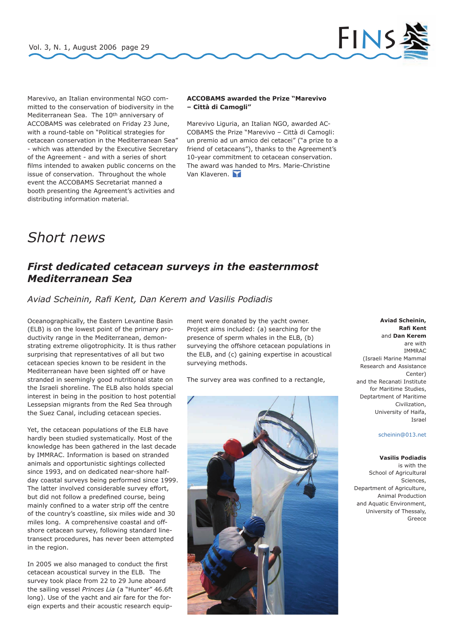

Marevivo, an Italian environmental NGO committed to the conservation of biodiversity in the Mediterranean Sea. The 10<sup>th</sup> anniversary of ACCOBAMS was celebrated on Friday 23 June, with a round-table on "Political strategies for cetacean conservation in the Mediterranean Sea" - which was attended by the Executive Secretary of the Agreement - and with a series of short films intended to awaken public concerns on the issue of conservation. Throughout the whole event the ACCOBAMS Secretariat manned a booth presenting the Agreement's activities and distributing information material.

### **ACCOBAMS awarded the Prize "Marevivo – Città di Camogli"**

Marevivo Liguria, an Italian NGO, awarded AC-COBAMS the Prize "Marevivo – Città di Camogli: un premio ad un amico dei cetacei" ("a prize to a friend of cetaceans"), thanks to the Agreement's 10-year commitment to cetacean conservation. The award was handed to Mrs. Marie-Christine Van Klaveren.

# *Short news*

## *First dedicated cetacean surveys in the easternmost Mediterranean Sea*

*Aviad Scheinin, Rafi Kent, Dan Kerem and Vasilis Podiadis*

Oceanographically, the Eastern Levantine Basin (ELB) is on the lowest point of the primary productivity range in the Mediterranean, demonstrating extreme oligotrophicity. It is thus rather surprising that representatives of all but two cetacean species known to be resident in the Mediterranean have been sighted off or have stranded in seemingly good nutritional state on the Israeli shoreline. The ELB also holds special interest in being in the position to host potential Lessepsian migrants from the Red Sea through the Suez Canal, including cetacean species.

Yet, the cetacean populations of the ELB have hardly been studied systematically. Most of the knowledge has been gathered in the last decade by IMMRAC. Information is based on stranded animals and opportunistic sightings collected since 1993, and on dedicated near-shore halfday coastal surveys being performed since 1999. The latter involved considerable survey effort, but did not follow a predefined course, being mainly confined to a water strip off the centre of the country's coastline, six miles wide and 30 miles long. A comprehensive coastal and offshore cetacean survey, following standard linetransect procedures, has never been attempted in the region.

In 2005 we also managed to conduct the first cetacean acoustical survey in the ELB. The survey took place from 22 to 29 June aboard the sailing vessel *Princes Lia* (a "Hunter" 46.6ft long). Use of the yacht and air fare for the foreign experts and their acoustic research equip-

ment were donated by the yacht owner. Project aims included: (a) searching for the presence of sperm whales in the ELB, (b) surveying the offshore cetacean populations in the ELB, and (c) gaining expertise in acoustical surveying methods.

The survey area was confined to a rectangle,



### **Aviad Scheinin, Rafi Kent**  and **Dan Kerem**  are with **IMMRAC** (Israeli Marine Mammal Research and Assistance Center) and the Recanati Institute for Maritime Studies, Deptartment of Maritime Civilization, University of Haifa, Israel

### scheinin@013.net

### **Vasilis Podiadis**

is with the School of Agricultural -<br>Sciences, Department of Agriculture, Animal Production and Aquatic Environment, University of Thessaly, Greece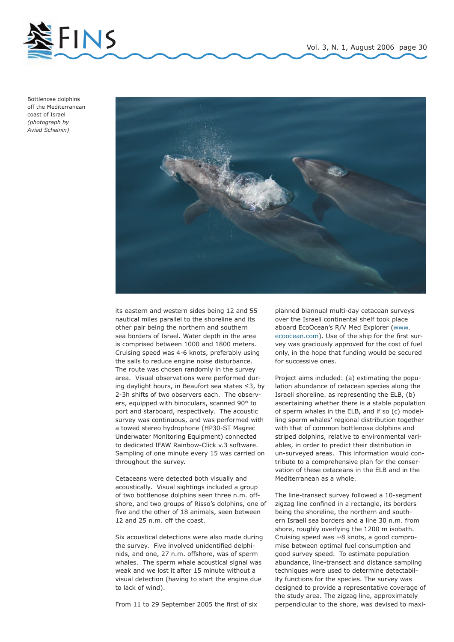

Bottlenose dolphins off the Mediterranean coast of Israel *(photograph by Aviad Scheinin)*



its eastern and western sides being 12 and 55 nautical miles parallel to the shoreline and its other pair being the northern and southern sea borders of Israel. Water depth in the area is comprised between 1000 and 1800 meters. Cruising speed was 4-6 knots, preferably using the sails to reduce engine noise disturbance. The route was chosen randomly in the survey area. Visual observations were performed during daylight hours, in Beaufort sea states ≤3, by 2-3h shifts of two observers each. The observers, equipped with binoculars, scanned 90° to port and starboard, respectively. The acoustic survey was continuous, and was performed with a towed stereo hydrophone (HP30-ST Magrec Underwater Monitoring Equipment) connected to dedicated IFAW Rainbow-Click v.3 software. Sampling of one minute every 15 was carried on throughout the survey.

Cetaceans were detected both visually and acoustically. Visual sightings included a group of two bottlenose dolphins seen three n.m. offshore, and two groups of Risso's dolphins, one of five and the other of 18 animals, seen between 12 and 25 n.m. off the coast.

Six acoustical detections were also made during the survey. Five involved unidentified delphinids, and one, 27 n.m. offshore, was of sperm whales. The sperm whale acoustical signal was weak and we lost it after 15 minute without a visual detection (having to start the engine due to lack of wind).

From 11 to 29 September 2005 the first of six

planned biannual multi-day cetacean surveys over the Israeli continental shelf took place aboard EcoOcean's R/V Med Explorer (www. ecoocean.com). Use of the ship for the first survey was graciously approved for the cost of fuel only, in the hope that funding would be secured for successive ones.

Project aims included: (a) estimating the population abundance of cetacean species along the Israeli shoreline. as representing the ELB, (b) ascertaining whether there is a stable population of sperm whales in the ELB, and if so (c) modelling sperm whales' regional distribution together with that of common bottlenose dolphins and striped dolphins, relative to environmental variables, in order to predict their distribution in un-surveyed areas. This information would contribute to a comprehensive plan for the conservation of these cetaceans in the ELB and in the Mediterranean as a whole.

The line-transect survey followed a 10-segment zigzag line confined in a rectangle, its borders being the shoreline, the northern and southern Israeli sea borders and a line 30 n.m. from shore, roughly overlying the 1200 m isobath. Cruising speed was ~8 knots, a good compromise between optimal fuel consumption and good survey speed. To estimate population abundance, line-transect and distance sampling techniques were used to determine detectability functions for the species. The survey was designed to provide a representative coverage of the study area. The zigzag line, approximately perpendicular to the shore, was devised to maxi-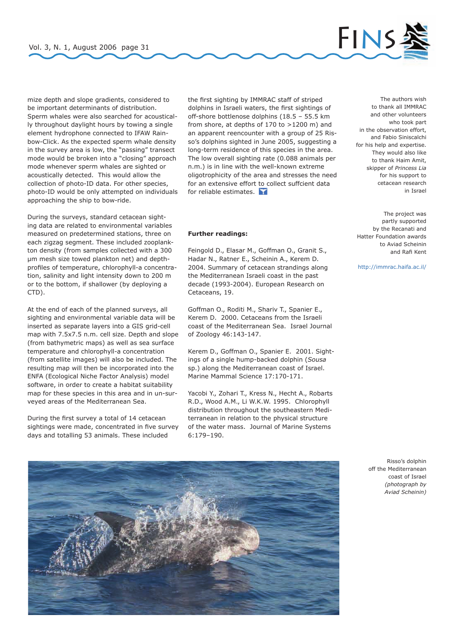

mize depth and slope gradients, considered to be important determinants of distribution. Sperm whales were also searched for acoustically throughout daylight hours by towing a single element hydrophone connected to IFAW Rainbow-Click. As the expected sperm whale density in the survey area is low, the "passing" transect mode would be broken into a "closing" approach mode whenever sperm whales are sighted or acoustically detected. This would allow the collection of photo-ID data. For other species, photo-ID would be only attempted on individuals approaching the ship to bow-ride.

During the surveys, standard cetacean sighting data are related to environmental variables measured on predetermined stations, three on each zigzag segment. These included zooplankton density (from samples collected with a 300 µm mesh size towed plankton net) and depthprofiles of temperature, chlorophyll-a concentration, salinity and light intensity down to 200 m or to the bottom, if shallower (by deploying a CTD).

At the end of each of the planned surveys, all sighting and environmental variable data will be inserted as separate layers into a GIS grid-cell map with 7.5x7.5 n.m. cell size. Depth and slope (from bathymetric maps) as well as sea surface temperature and chlorophyll-a concentration (from satellite images) will also be included. The resulting map will then be incorporated into the ENFA (Ecological Niche Factor Analysis) model software, in order to create a habitat suitability map for these species in this area and in un-surveyed areas of the Mediterranean Sea.

During the first survey a total of 14 cetacean sightings were made, concentrated in five survey days and totalling 53 animals. These included

the first sighting by IMMRAC staff of striped dolphins in Israeli waters, the first sightings of off-shore bottlenose dolphins (18.5 – 55.5 km from shore, at depths of 170 to >1200 m) and an apparent reencounter with a group of 25 Risso's dolphins sighted in June 2005, suggesting a long-term residence of this species in the area. The low overall sighting rate (0.088 animals per n.m.) is in line with the well-known extreme oligotrophicity of the area and stresses the need for an extensive effort to collect suffcient data for reliable estimates.

### **Further readings:**

Feingold D., Elasar M., Goffman O., Granit S., Hadar N., Ratner E., Scheinin A., Kerem D. 2004. Summary of cetacean strandings along the Mediterranean Israeli coast in the past decade (1993-2004). European Research on Cetaceans, 19.

Goffman O., Roditi M., Shariv T., Spanier E., Kerem D. 2000. Cetaceans from the Israeli coast of the Mediterranean Sea. Israel Journal of Zoology 46:143-147.

Kerem D., Goffman O., Spanier E. 2001. Sightings of a single hump-backed dolphin (*Sousa* sp.) along the Mediterranean coast of Israel. Marine Mammal Science 17:170-171.

Yacobi Y., Zohari T., Kress N., Hecht A., Robarts R.D., Wood A.M., Li W.K.W. 1995. Chlorophyll distribution throughout the southeastern Mediterranean in relation to the physical structure of the water mass. Journal of Marine Systems 6:179–190.

The authors wish to thank all IMMRAC and other volunteers who took part in the observation effort, and Fabio Siniscalchi for his help and expertise. They would also like to thank Haim Amit, skipper of *Princess Lia* for his support to cetacean research in Israel

The project was partly supported by the Recanati and Hatter Foundation awards to Aviad Scheinin and Rafi Kent

http://immrac.haifa.ac.il/

Risso's dolphin off the Mediterranean coast of Israel *(photograph by Aviad Scheinin)*

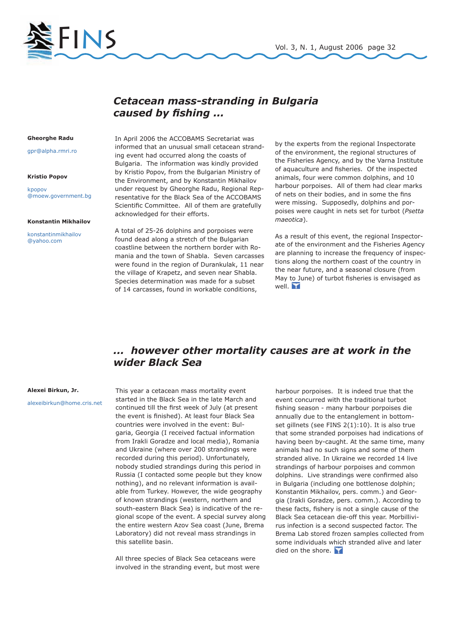



## *Cetacean mass-stranding in Bulgaria caused by fishing ...*

### **Gheorghe Radu**

gpr@alpha.rmri.ro

#### **Kristio Popov**

kpopov @moew.government.bg

#### **Konstantin Mikhailov**

konstantinmikhailov @yahoo.com

In April 2006 the ACCOBAMS Secretariat was informed that an unusual small cetacean stranding event had occurred along the coasts of Bulgaria. The information was kindly provided by Kristio Popov, from the Bulgarian Ministry of the Environment, and by Konstantin Mikhailov under request by Gheorghe Radu, Regional Representative for the Black Sea of the ACCOBAMS Scientific Committee. All of them are gratefully acknowledged for their efforts.

A total of 25-26 dolphins and porpoises were found dead along a stretch of the Bulgarian coastline between the northern border with Romania and the town of Shabla. Seven carcasses were found in the region of Durankulak, 11 near the village of Krapetz, and seven near Shabla. Species determination was made for a subset of 14 carcasses, found in workable conditions,

by the experts from the regional Inspectorate of the environment, the regional structures of the Fisheries Agency, and by the Varna Institute of aquaculture and fisheries. Of the inspected animals, four were common dolphins, and 10 harbour porpoises. All of them had clear marks of nets on their bodies, and in some the fins were missing. Supposedly, dolphins and porpoises were caught in nets set for turbot (*Psetta maeotica*).

As a result of this event, the regional Inspectorate of the environment and the Fisheries Agency are planning to increase the frequency of inspections along the northern coast of the country in the near future, and a seasonal closure (from May to June) of turbot fisheries is envisaged as well.

## *... however other mortality causes are at work in the wider Black Sea*

### **Alexei Birkun, Jr.**

alexeibirkun@home.cris.net

This year a cetacean mass mortality event started in the Black Sea in the late March and continued till the first week of July (at present the event is finished). At least four Black Sea countries were involved in the event: Bulgaria, Georgia (I received factual information from Irakli Goradze and local media), Romania and Ukraine (where over 200 strandings were recorded during this period). Unfortunately, nobody studied strandings during this period in Russia (I contacted some people but they know nothing), and no relevant information is available from Turkey. However, the wide geography of known strandings (western, northern and south-eastern Black Sea) is indicative of the regional scope of the event. A special survey along the entire western Azov Sea coast (June, Brema Laboratory) did not reveal mass strandings in this satellite basin.

All three species of Black Sea cetaceans were involved in the stranding event, but most were

harbour porpoises. It is indeed true that the event concurred with the traditional turbot fishing season - many harbour porpoises die annually due to the entanglement in bottomset gillnets (see FINS 2(1):10). It is also true that some stranded porpoises had indications of having been by-caught. At the same time, many animals had no such signs and some of them stranded alive. In Ukraine we recorded 14 live strandings of harbour porpoises and common dolphins. Live strandings were confirmed also in Bulgaria (including one bottlenose dolphin; Konstantin Mikhailov, pers. comm.) and Georgia (Irakli Goradze, pers. comm.). According to these facts, fishery is not a single cause of the Black Sea cetacean die-off this year. Morbillivirus infection is a second suspected factor. The Brema Lab stored frozen samples collected from some individuals which stranded alive and later died on the shore.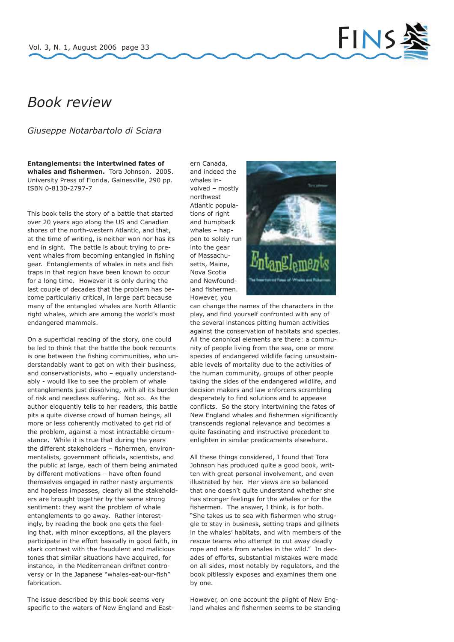

# *Book review*

*Giuseppe Notarbartolo di Sciara*

**Entanglements: the intertwined fates of whales and fishermen.** Tora Johnson. 2005. University Press of Florida, Gainesville, 290 pp. ISBN 0-8130-2797-7

This book tells the story of a battle that started over 20 years ago along the US and Canadian shores of the north-western Atlantic, and that, at the time of writing, is neither won nor has its end in sight. The battle is about trying to prevent whales from becoming entangled in fishing gear. Entanglements of whales in nets and fish traps in that region have been known to occur for a long time. However it is only during the last couple of decades that the problem has become particularly critical, in large part because many of the entangled whales are North Atlantic right whales, which are among the world's most endangered mammals.

On a superficial reading of the story, one could be led to think that the battle the book recounts is one between the fishing communities, who understandably want to get on with their business, and conservationists, who – equally understandably - would like to see the problem of whale entanglements just dissolving, with all its burden of risk and needless suffering. Not so. As the author eloquently tells to her readers, this battle pits a quite diverse crowd of human beings, all more or less coherently motivated to get rid of the problem, against a most intractable circumstance. While it is true that during the years the different stakeholders – fishermen, environmentalists, government officials, scientists, and the public at large, each of them being animated by different motivations – have often found themselves engaged in rather nasty arguments and hopeless impasses, clearly all the stakeholders are brought together by the same strong sentiment: they want the problem of whale entanglements to go away. Rather interestingly, by reading the book one gets the feeling that, with minor exceptions, all the players participate in the effort basically in good faith, in stark contrast with the fraudulent and malicious tones that similar situations have acquired, for instance, in the Mediterranean driftnet controversy or in the Japanese "whales-eat-our-fish" fabrication.

The issue described by this book seems very specific to the waters of New England and East-

ern Canada, and indeed the whales involved – mostly northwest Atlantic populations of right and humpback whales – happen to solely run into the gear of Massachusetts, Maine, Nova Scotia and Newfoundland fishermen. However, you



can change the names of the characters in the play, and find yourself confronted with any of the several instances pitting human activities against the conservation of habitats and species. All the canonical elements are there: a community of people living from the sea, one or more species of endangered wildlife facing unsustainable levels of mortality due to the activities of the human community, groups of other people taking the sides of the endangered wildlife, and decision makers and law enforcers scrambling desperately to find solutions and to appease conflicts. So the story intertwining the fates of New England whales and fishermen significantly transcends regional relevance and becomes a quite fascinating and instructive precedent to enlighten in similar predicaments elsewhere.

All these things considered, I found that Tora Johnson has produced quite a good book, written with great personal involvement, and even illustrated by her. Her views are so balanced that one doesn't quite understand whether she has stronger feelings for the whales or for the fishermen. The answer, I think, is for both. "She takes us to sea with fishermen who struggle to stay in business, setting traps and gillnets in the whales' habitats, and with members of the rescue teams who attempt to cut away deadly rope and nets from whales in the wild." In decades of efforts, substantial mistakes were made on all sides, most notably by regulators, and the book pitilessly exposes and examines them one by one.

However, on one account the plight of New England whales and fishermen seems to be standing